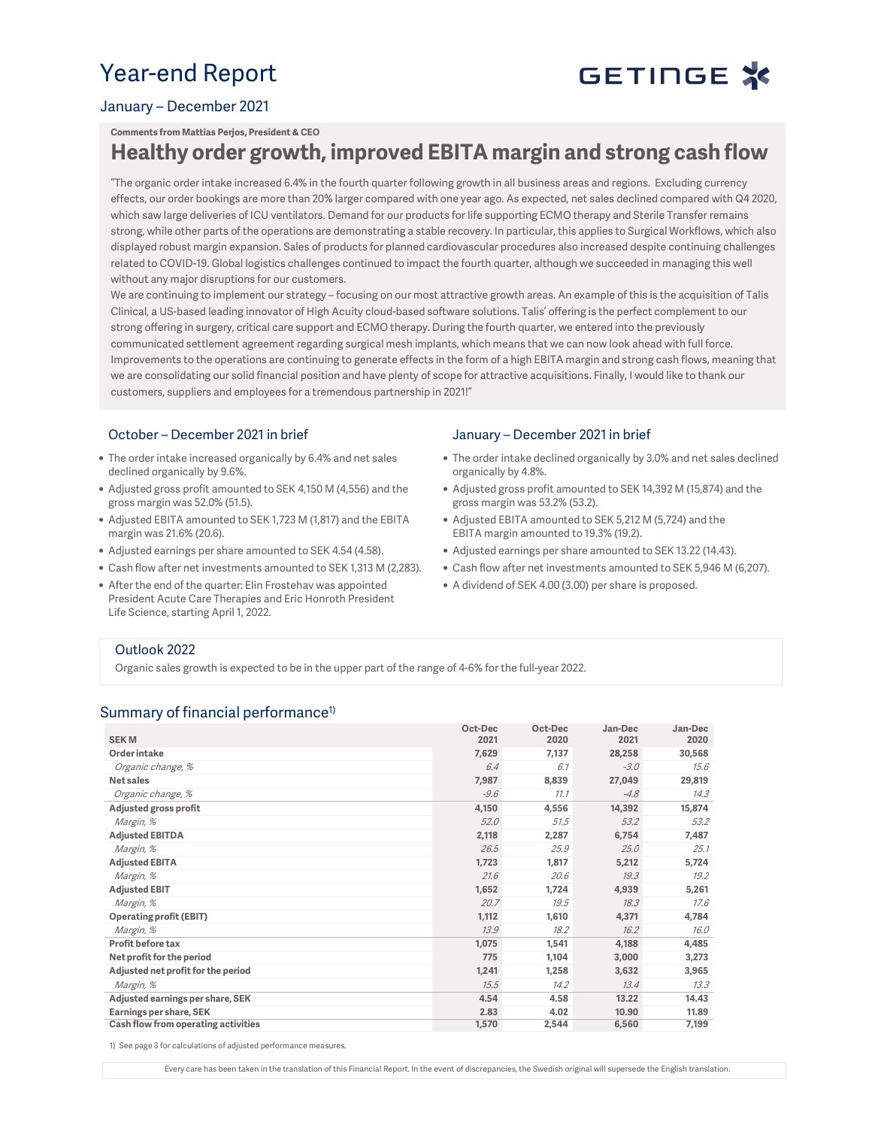# Year-end Report

# GETINGE X

### January – December 2021

#### **Comments from Mattias Perjos, President & CEO**

## **Healthy order growth, improved EBITA margin and strong cash flow**

"The organic order intake increased 6.4% in the fourth quarter following growth in all business areas and regions. Excluding currency effects, our order bookings are more than 20% larger compared with one year ago. As expected, net sales declined compared with Q4 2020, which saw large deliveries of ICU ventilators. Demand for our products for life supporting ECMO therapy and Sterile Transfer remains strong, while other parts of the operations are demonstrating a stable recovery. In particular, this applies to Surgical Workflows, which also displayed robust margin expansion. Sales of products for planned cardiovascular procedures also increased despite continuing challenges related to COVID-19. Global logistics challenges continued to impact the fourth quarter, although we succeeded in managing this well without any major disruptions for our customers.

We are continuing to implement our strategy – focusing on our most attractive growth areas. An example of this is the acquisition of Talis Clinical, a US-based leading innovator of High Acuity cloud-based software solutions. Talis' offering is the perfect complement to our strong offering in surgery, critical care support and ECMO therapy. During the fourth quarter, we entered into the previously communicated settlement agreement regarding surgical mesh implants, which means that we can now look ahead with full force. Improvements to the operations are continuing to generate effects in the form of a high EBITA margin and strong cash flows, meaning that we are consolidating our solid financial position and have plenty of scope for attractive acquisitions. Finally, I would like to thank our customers, suppliers and employees for a tremendous partnership in 2021!"

#### October – December 2021 in brief

- The order intake increased organically by 6.4% and net sales declined organically by 9.6%.
- Adjusted gross profit amounted to SEK 4,150 M (4,556) and the gross margin was 52.0% (51.5).
- Adjusted EBITA amounted to SEK 1,723 M (1,817) and the EBITA margin was 21.6% (20.6).
- Adjusted earnings per share amounted to SEK 4.54 (4.58).
- Cash flow after net investments amounted to SEK 1,313 M (2,283).
- After the end of the quarter: Elin Frostehav was appointed President Acute Care Therapies and Eric Honroth President Life Science, starting April 1, 2022.

#### January – December 2021 in brief

- The order intake declined organically by 3.0% and net sales declined organically by 4.8%.
- Adjusted gross profit amounted to SEK 14,392 M (15,874) and the gross margin was 53.2% (53.2).
- Adjusted EBITA amounted to SEK 5,212 M (5,724) and the EBITA margin amounted to 19.3% (19.2).
- Adjusted earnings per share amounted to SEK 13.22 (14.43).
- Cash flow after net investments amounted to SEK 5,946 M (6,207).
- A dividend of SEK 4.00 (3.00) per share is proposed.

#### Outlook 2022

Organic sales growth is expected to be in the upper part of the range of 4-6% for the full-year 2022.

### Summary of financial performance<sup>1)</sup>

|                                     | Oct-Dec | Oct-Dec | Jan-Dec | Jan-Dec |
|-------------------------------------|---------|---------|---------|---------|
| <b>SEKM</b>                         | 2021    | 2020    | 2021    | 2020    |
| Order intake                        | 7,629   | 7,137   | 28,258  | 30,568  |
| Organic change, %                   | 6.4     | 6.1     | $-3.0$  | 15.6    |
| Net sales                           | 7,987   | 8,839   | 27,049  | 29,819  |
| Organic change, %                   | $-9.6$  | 11.1    | $-4.8$  | 14.3    |
| Adjusted gross profit               | 4,150   | 4,556   | 14,392  | 15,874  |
| Margin, %                           | 52.0    | 51.5    | 53.2    | 53.2    |
| <b>Adjusted EBITDA</b>              | 2,118   | 2,287   | 6,754   | 7,487   |
| Margin, %                           | 26.5    | 25.9    | 25.0    | 25.1    |
| <b>Adjusted EBITA</b>               | 1,723   | 1,817   | 5,212   | 5,724   |
| Margin, %                           | 21.6    | 20.6    | 19.3    | 19.2    |
| <b>Adjusted EBIT</b>                | 1,652   | 1,724   | 4,939   | 5,261   |
| Margin, %                           | 20.7    | 19.5    | 18.3    | 17.6    |
| <b>Operating profit (EBIT)</b>      | 1,112   | 1,610   | 4,371   | 4,784   |
| Margin, %                           | 13.9    | 18.2    | 16.2    | 16.0    |
| Profit before tax                   | 1,075   | 1,541   | 4,188   | 4,485   |
| Net profit for the period           | 775     | 1,104   | 3,000   | 3,273   |
| Adjusted net profit for the period  | 1,241   | 1,258   | 3,632   | 3,965   |
| Margin, %                           | 15.5    | 14.2    | 13.4    | 13.3    |
| Adjusted earnings per share, SEK    | 4.54    | 4.58    | 13.22   | 14.43   |
| Earnings per share, SEK             | 2.83    | 4.02    | 10.90   | 11.89   |
| Cash flow from operating activities | 1,570   | 2,544   | 6,560   | 7,199   |

1) See page 3 for calculations of adjusted performance measures.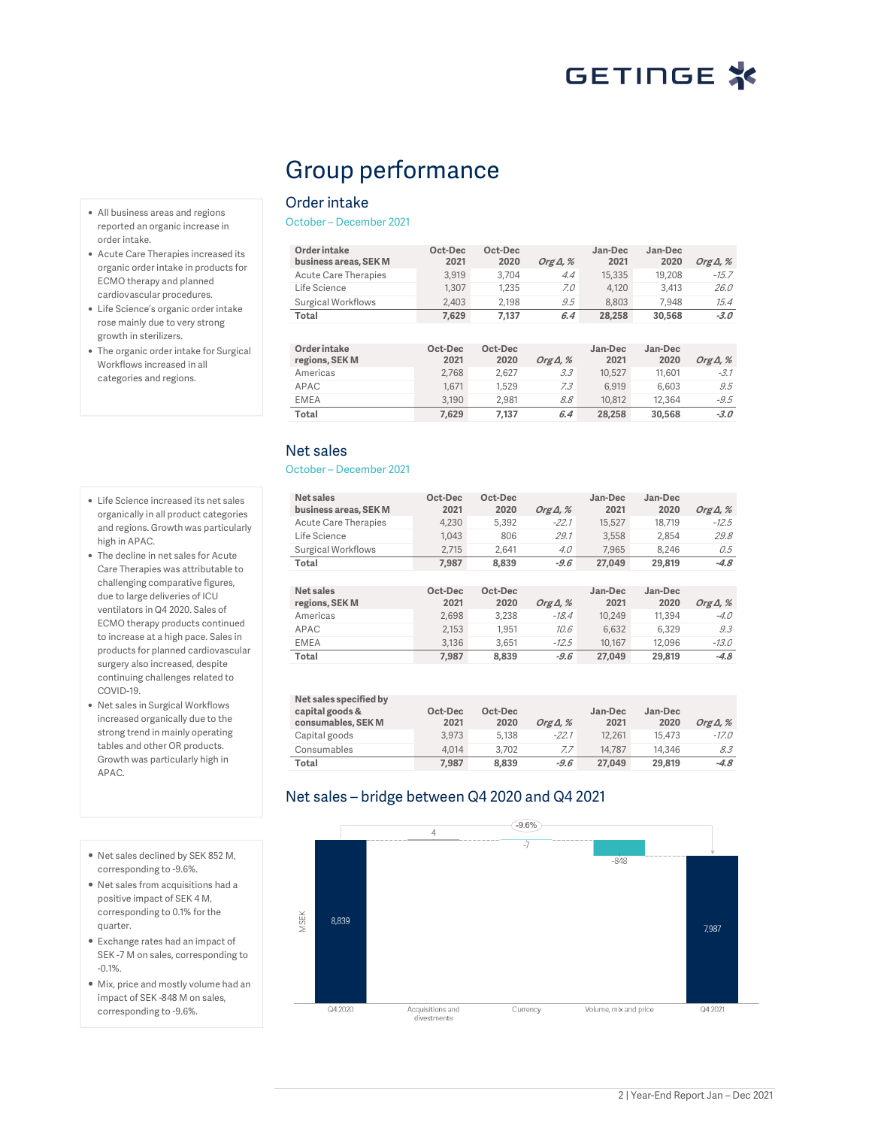# Group performance

### Order intake

October – December 2021

**Order intake business areas, SEK M Oct-Dec 2021 Oct-Dec 2020 Org Δ, % Jan-Dec 2021 Jan-Dec 2020 Org Δ, %** Acute Care Therapies Life Science 1,307 1,235 7.0 4,120 3,413 26.0 Surgical Workflows 2,403 2,198 9.5 8,803 7,948 15.4 **Total 7,629 7,137 6.4 28,258 30,568 -3.0**

| Order intake<br>regions, SEK M | Oct-Dec<br>2021 | Oct-Dec<br>2020 | Org $\Delta$ , % | Jan-Dec<br>2021 | Jan-Dec<br>2020 | Org $\Delta$ , % |
|--------------------------------|-----------------|-----------------|------------------|-----------------|-----------------|------------------|
| Americas                       | 2.768           | 2.627           | 3.3              | 10.527          | 11,601          | $-3.1$           |
| APAC                           | 1.671           | 1.529           | 7.3              | 6.919           | 6.603           | 9.5              |
| <b>EMEA</b>                    | 3.190           | 2.981           | 8.8              | 10.812          | 12,364          | $-9.5$           |
| Total                          | 7.629           | 7.137           | 6.4              | 28,258          | 30,568          | $-3.0$           |

### Net sales

#### October – December 2021

| Net sales<br>business areas, SEK M | Oct-Dec<br>2021 | Oct-Dec<br>2020 | Org $\Delta$ , % | Jan-Dec<br>2021 | Jan-Dec<br>2020 | Org $\Delta$ , % |
|------------------------------------|-----------------|-----------------|------------------|-----------------|-----------------|------------------|
| <b>Acute Care Therapies</b>        | 4.230           | 5.392           | $-22.1$          | 15.527          | 18.719          | $-12.5$          |
| Life Science                       | 1.043           | 806             | 29.1             | 3.558           | 2.854           | 29.8             |
| <b>Surgical Workflows</b>          | 2.715           | 2.641           | 4.0              | 7.965           | 8.246           | 0.5              |
| Total                              | 7.987           | 8.839           | $-9.6$           | 27.049          | 29,819          | $-4.8$           |
|                                    |                 |                 |                  |                 |                 |                  |
|                                    |                 |                 |                  |                 |                 |                  |
| Net sales<br>regions, SEK M        | Oct-Dec<br>2021 | Oct-Dec<br>2020 | Org $\Delta$ , % | Jan-Dec<br>2021 | Jan-Dec<br>2020 | Org $\Delta$ , % |
| Americas                           | 2.698           | 3.238           | $-18.4$          | 10.249          | 11.394          | $-4.0$           |
| APAC                               | 2.153           | 1.951           | 10.6             | 6.632           | 6.329           | 9.3              |
| <b>EMEA</b>                        | 3.136           | 3.651           | $-12.5$          | 10.167          | 12.096          | $-13.0$          |
| Total                              | 7.987           | 8,839           | $-9.6$           | 27.049          | 29.819          | $-4.8$           |

| Net sales specified by<br>capital goods &<br>consumables, SEK M | Oct-Dec<br>2021 | Oct-Dec<br>2020 | Org $\Delta$ , % | Jan-Dec<br>2021 | Jan-Dec<br>2020 | Org $\Delta$ , % |
|-----------------------------------------------------------------|-----------------|-----------------|------------------|-----------------|-----------------|------------------|
| Capital goods                                                   | 3.973           | 5.138           | $-22.1$          | 12.261          | 15,473          | $-17.0$          |
| Consumables                                                     | 4.014           | 3.702           | 7.7              | 14.787          | 14.346          | 8.3              |
| Total                                                           | 7.987           | 8.839           | $-9.6$           | 27.049          | 29,819          | $-4.8$           |

## Net sales – bridge between Q4 2020 and Q4 2021



- All business areas and regions reported an organic increase in order intake.
- Acute Care Therapies increased its organic order intake in products for ECMO therapy and planned cardiovascular procedures.
- Life Science's organic order intake rose mainly due to very strong growth in sterilizers.
- The organic order intake for Surgical Workflows increased in all categories and regions.
- Life Science increased its net sales organically in all product categories and regions. Growth was particularly high in APAC.
- The decline in net sales for Acute Care Therapies was attributable to challenging comparative figures, due to large deliveries of ICU ventilators in Q4 2020. Sales of ECMO therapy products continued to increase at a high pace. Sales in products for planned cardiovascular surgery also increased, despite continuing challenges related to COVID-19.
- Net sales in Surgical Workflows increased organically due to the strong trend in mainly operating tables and other OR products. Growth was particularly high in APAC.
- Net sales declined by SEK 852 M, corresponding to -9.6%.
- Net sales from acquisitions had a positive impact of SEK 4 M, corresponding to 0.1% for the quarter.
- Exchange rates had an impact of SEK -7 M on sales, corresponding to -0.1%.
- Mix, price and mostly volume had an impact of SEK -848 M on sales, corresponding to -9.6%.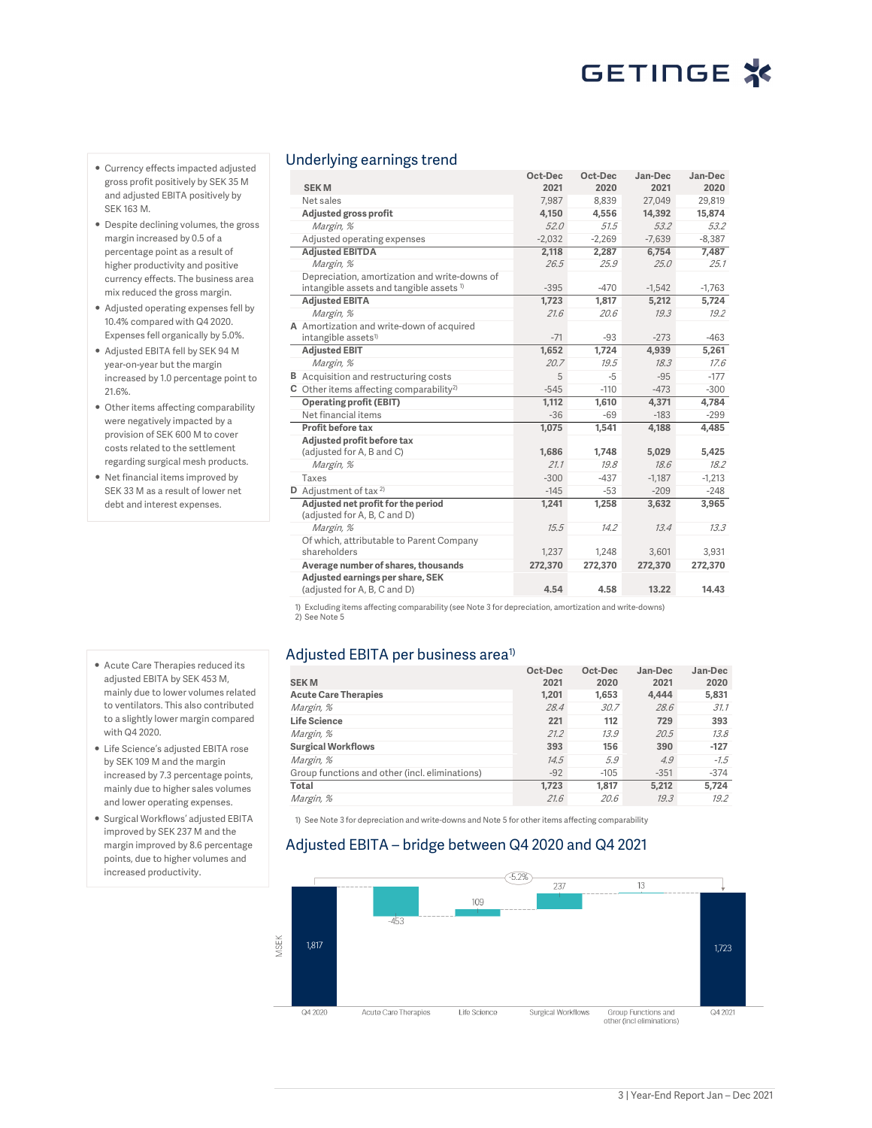- Currency effects impacted adjusted gross profit positively by SEK 35 M and adjusted EBITA positively by SEK 163 M.
- Despite declining volumes, the gross margin increased by 0.5 of a percentage point as a result of higher productivity and positive currency effects. The business area mix reduced the gross margin.
- Adjusted operating expenses fell by 10.4% compared with Q4 2020. Expenses fell organically by 5.0%.
- Adjusted EBITA fell by SEK 94 M year-on-year but the margin increased by 1.0 percentage point to 21.6%.
- Other items affecting comparability were negatively impacted by a provision of SEK 600 M to cover costs related to the settlement regarding surgical mesh products.
- Net financial items improved by SEK 33 M as a result of lower net debt and interest expenses.

### Underlying earnings trend

|                                                     | Oct-Dec<br>2021 | Oct-Dec<br>2020 | Jan-Dec<br>2021  | Jan-Dec<br>2020 |
|-----------------------------------------------------|-----------------|-----------------|------------------|-----------------|
| <b>SEKM</b><br>Net sales                            |                 |                 |                  |                 |
|                                                     | 7,987           | 8,839<br>4.556  | 27,049<br>14,392 | 29,819          |
| Adjusted gross profit                               | 4,150           |                 |                  | 15,874          |
| Margin, %                                           | 52.0            | 51.5            | 53.2             | 53.2            |
| Adjusted operating expenses                         | $-2,032$        | $-2,269$        | $-7,639$         | $-8,387$        |
| <b>Adjusted EBITDA</b>                              | 2,118           | 2,287           | 6,754            | 7,487           |
| Margin, %                                           | 26.5            | 25.9            | 25.0             | 25.1            |
| Depreciation, amortization and write-downs of       |                 |                 |                  |                 |
| intangible assets and tangible assets <sup>1)</sup> | $-395$          | $-470$          | $-1,542$         | $-1,763$        |
| <b>Adjusted EBITA</b>                               | 1,723           | 1,817           | 5,212            | 5,724           |
| Margin, %                                           | 21.6            | 20.6            | 19.3             | 19.2            |
| A Amortization and write-down of acquired           |                 |                 |                  |                 |
| intangible assets <sup>1)</sup>                     | $-71$           | $-93$           | $-273$           | $-463$          |
| <b>Adjusted EBIT</b>                                | 1,652           | 1,724           | 4,939            | 5,261           |
| Margin, %                                           | 20.7            | 19.5            | 18.3             | 17.6            |
| <b>B</b> Acquisition and restructuring costs        | 5               | $-5$            | $-95$            | $-177$          |
| C Other items affecting comparability <sup>2)</sup> | $-545$          | $-110$          | $-473$           | $-300$          |
| <b>Operating profit (EBIT)</b>                      | 1,112           | 1,610           | 4,371            | 4,784           |
| Net financial items                                 | $-36$           | $-69$           | $-183$           | $-299$          |
| Profit before tax                                   | 1.075           | 1.541           | 4.188            | 4,485           |
| Adjusted profit before tax                          |                 |                 |                  |                 |
| (adjusted for A, B and C)                           | 1,686           | 1,748           | 5,029            | 5,425           |
| Margin, %                                           | 21.1            | 19.8            | 18.6             | 18.2            |
| Taxes                                               | $-300$          | $-437$          | $-1,187$         | $-1,213$        |
| <b>D</b> Adjustment of tax $2$                      | $-145$          | $-53$           | $-209$           | $-248$          |
| Adjusted net profit for the period                  | 1,241           | 1,258           | 3,632            | 3,965           |
| (adjusted for A, B, C and D)                        |                 |                 |                  |                 |
| Margin, %                                           | 15.5            | 14.2            | 13.4             | 13.3            |
| Of which, attributable to Parent Company            |                 |                 |                  |                 |
| shareholders                                        | 1,237           | 1,248           | 3,601            | 3,931           |
| Average number of shares, thousands                 | 272,370         | 272,370         | 272,370          | 272,370         |
| Adjusted earnings per share, SEK                    |                 |                 |                  |                 |
| (adjusted for A, B, C and D)                        | 4.54            | 4.58            | 13.22            | 14.43           |

1) Excluding items affecting comparability (see Note 3 for depreciation, amortization and write-downs)

2) See Note 5

### Adjusted EBITA per business area<sup>1)</sup>

|                                                | Oct-Dec | Oct-Dec | Jan-Dec | Jan-Dec |
|------------------------------------------------|---------|---------|---------|---------|
| <b>SEKM</b>                                    | 2021    | 2020    | 2021    | 2020    |
| <b>Acute Care Therapies</b>                    | 1,201   | 1.653   | 4.444   | 5,831   |
| Margin, %                                      | 28.4    | 30.7    | 28.6    | 31.1    |
| <b>Life Science</b>                            | 221     | 112     | 729     | 393     |
| Margin, %                                      | 21.2    | 13.9    | 20.5    | 13.8    |
| <b>Surgical Workflows</b>                      | 393     | 156     | 390     | $-127$  |
| Margin, %                                      | 14.5    | 5.9     | 4.9     | $-7.5$  |
| Group functions and other (incl. eliminations) | $-92$   | $-105$  | $-351$  | $-374$  |
| Total                                          | 1.723   | 1.817   | 5.212   | 5.724   |
| Margin, %                                      | 21.6    | 20.6    | 19.3    | 19.2    |

1) See Note 3 for depreciation and write-downs and Note 5 for other items affecting comparability

### Adjusted EBITA – bridge between Q4 2020 and Q4 2021



• Acute Care Therapies reduced its adjusted EBITA by SEK 453 M, mainly due to lower volumes related to ventilators. This also contributed to a slightly lower margin compared with Q4 2020.

- Life Science's adjusted EBITA rose by SEK 109 M and the margin increased by 7.3 percentage points, mainly due to higher sales volumes and lower operating expenses.
- Surgical Workflows' adjusted EBITA improved by SEK 237 M and the margin improved by 8.6 percentage points, due to higher volumes and increased productivity.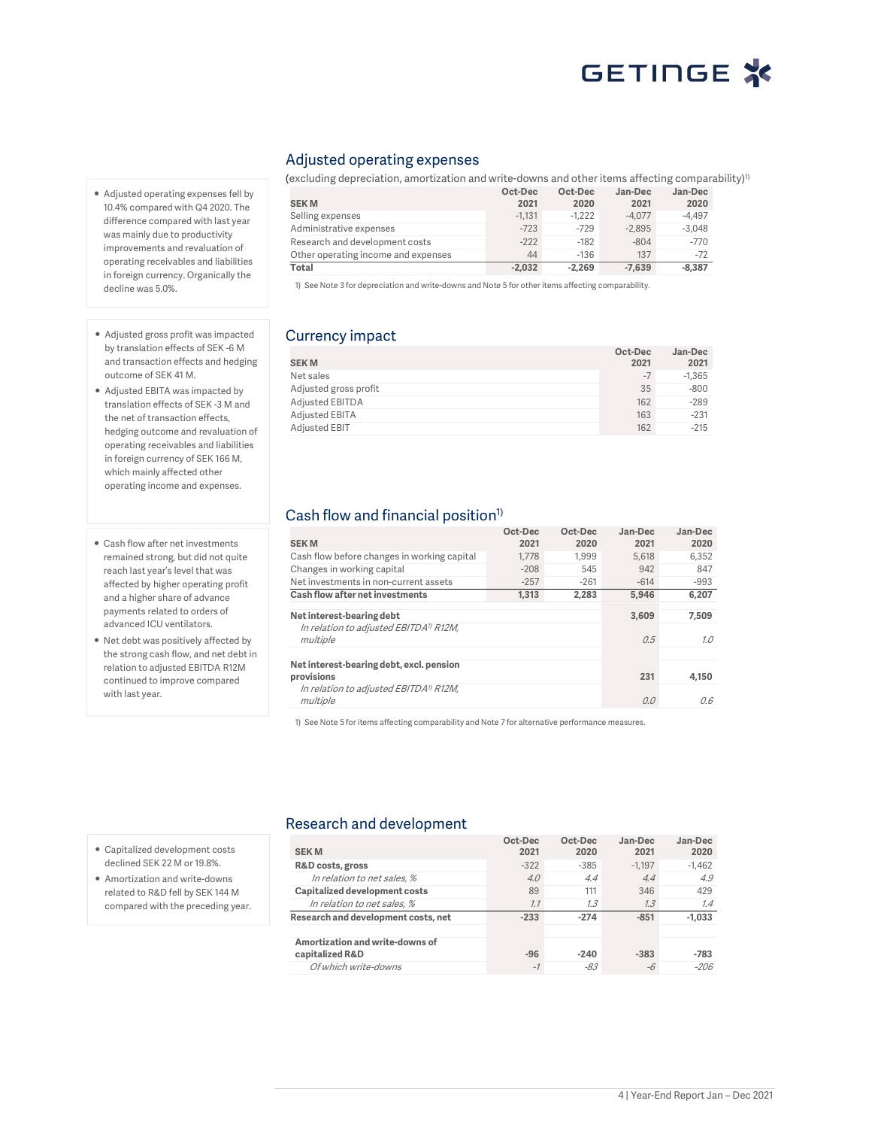- Adjusted operating expenses fell by 10.4% compared with Q4 2020. The difference compared with last year was mainly due to productivity improvements and revaluation of operating receivables and liabilities in foreign currency. Organically the decline was 5.0%.
- Adjusted gross profit was impacted by translation effects of SEK -6 M and transaction effects and hedging outcome of SEK 41 M.
- Adjusted EBITA was impacted by translation effects of SEK -3 M and the net of transaction effects, hedging outcome and revaluation of operating receivables and liabilities in foreign currency of SEK 166 M, which mainly affected other operating income and expenses.
- Cash flow after net investments remained strong, but did not quite reach last year's level that was affected by higher operating profit and a higher share of advance payments related to orders of advanced ICU ventilators.
- Net debt was positively affected by the strong cash flow, and net debt in relation to adjusted EBITDA R12M continued to improve compared with last year.

### Adjusted operating expenses

(excluding depreciation, amortization and write-downs and other items affecting comparability)<sup>1)</sup> **SEK M Oct-Dec 2021 Oct-Dec 2020 Jan-Dec 2021 Jan-Dec 2020** Selling expenses -1,131 -1,222 -4,077 -4,497 Administrative expenses -723 -729 -2,895 -3,048<br>Research and development costs -222 -182 -804 -770 Research and development costs Other operating income and expenses 44 -136 137 -72 **Total -2,032 -2,269 -7,639 -8,387**

1) See Note 3 for depreciation and write-downs and Note 5 for other items affecting comparability.

## Currency impact

|                        | Oct-Dec | Jan-Dec  |
|------------------------|---------|----------|
| <b>SEKM</b>            | 2021    | 2021     |
| Net sales              | $-7$    | $-1.365$ |
| Adjusted gross profit  | 35      | $-800$   |
| <b>Adjusted EBITDA</b> | 162     | $-289$   |
| Adjusted EBITA         | 163     | $-231$   |
| Adjusted EBIT          | 162     | $-215$   |

## Cash flow and financial position<sup>1)</sup>

| <b>SEKM</b>                                                    | Oct-Dec<br>2021 | Oct-Dec<br>2020 | Jan-Dec<br>2021 | Jan-Dec<br>2020 |
|----------------------------------------------------------------|-----------------|-----------------|-----------------|-----------------|
| Cash flow before changes in working capital                    | 1.778           | 1.999           | 5.618           | 6.352           |
| Changes in working capital                                     | $-208$          | 545             | 942             | 847             |
| Net investments in non-current assets                          | $-257$          | $-261$          | $-614$          | $-993$          |
| Cash flow after net investments                                | 1.313           | 2.283           | 5.946           | 6.207           |
| Net interest-bearing debt                                      |                 |                 | 3.609           | 7.509           |
| In relation to adjusted EBITDA <sup>1)</sup> R12M,<br>multiple |                 |                 | 0.5             | 7.0             |
| Net interest-bearing debt, excl. pension<br>provisions         |                 |                 | 231             | 4.150           |
| In relation to adjusted EBITDA <sup>1)</sup> R12M,<br>multiple |                 |                 | 0.0             | 0.6             |

1) See Note 5 for items affecting comparability and Note 7 for alternative performance measures.

### Research and development

| <b>SEKM</b>                         | Oct-Dec<br>2021 | Oct-Dec<br>2020 | Jan-Dec<br>2021 | Jan-Dec<br>2020 |
|-------------------------------------|-----------------|-----------------|-----------------|-----------------|
| R&D costs, gross                    | $-322$          | $-385$          | $-1.197$        | $-1.462$        |
| In relation to net sales, %         | 4.0             | 4.4             | 4.4             | 4.9             |
| Capitalized development costs       | 89              | 111             | 346             | 429             |
| In relation to net sales, %         | 7.7             | 7.3             | 1.3             | 1.4             |
| Research and development costs, net | $-233$          | $-274$          | $-851$          | $-1.033$        |
|                                     |                 |                 |                 |                 |
| Amortization and write-downs of     |                 |                 |                 |                 |
| capitalized R&D                     | $-96$           | $-240$          | $-383$          | $-783$          |
| Of which write-downs                | $-1$            | $-83$           | -6              | -206            |

- Capitalized development costs declined SEK 22 M or 19.8%.
- Amortization and write-downs related to R&D fell by SEK 144 M compared with the preceding year.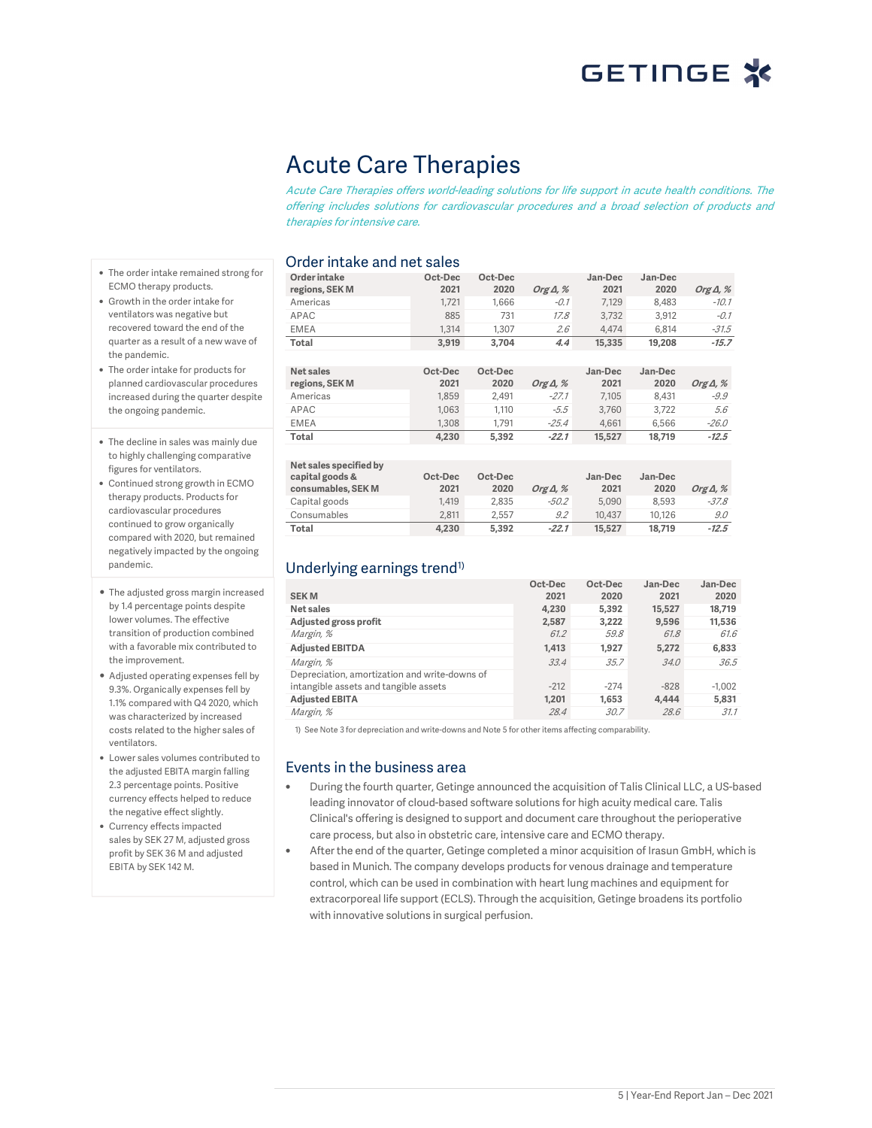# Acute Care Therapies

Acute Care Therapies offers world-leading solutions for life support in acute health conditions. The offering includes solutions for cardiovascular procedures and a broad selection of products and therapies for intensive care.

### Order intake and net sales

|                                        | OIUCI IIILANG AHU |
|----------------------------------------|-------------------|
| • The order intake remained strong for | Order intake      |
| ECMO therapy products.                 | regions, SEK M    |
| • Growth in the order intake for       | Americas          |
| ventilators was negative but           | APAC              |
| recovered toward the end of the        | <b>EMEA</b>       |
| quarter as a result of a new wave of   | Total             |

the pandemic. • The order intake for products for planned cardiovascular procedures increased during the quarter despite the ongoing pandemic.

- The decline in sales was mainly due to highly challenging comparative figures for ventilators.
- Continued strong growth in ECMO therapy products. Products for cardiovascular procedures continued to grow organically compared with 2020, but remained negatively impacted by the ongoing pandemic.
- The adjusted gross margin increased by 1.4 percentage points despite lower volumes. The effective transition of production combined with a favorable mix contributed to the improvement.
- Adjusted operating expenses fell by 9.3%. Organically expenses fell by 1.1% compared with Q4 2020, which was characterized by increased costs related to the higher sales of ventilators.
- Lower sales volumes contributed to the adjusted EBITA margin falling 2.3 percentage points. Positive currency effects helped to reduce the negative effect slightly.
- Currency effects impacted sales by SEK 27 M, adjusted gross profit by SEK 36 M and adjusted EBITA by SEK 142 M.

| Order intake   | Oct-Dec | Oct-Dec |                  | Jan-Dec | Jan-Dec |                  |
|----------------|---------|---------|------------------|---------|---------|------------------|
| regions, SEK M | 2021    | 2020    | Org $\Delta$ , % | 2021    | 2020    | Org $\Delta$ , % |
| Americas       | 1.721   | 1.666   | $-0.1$           | 7.129   | 8.483   | $-10.1$          |
| APAC           | 885     | 731     | 17.8             | 3,732   | 3,912   | $-0.1$           |
| <b>EMEA</b>    | 1.314   | 1.307   | 2.6              | 4.474   | 6.814   | $-31.5$          |
| <b>Total</b>   | 3.919   | 3.704   | 4.4              | 15,335  | 19,208  | $-15.7$          |
|                |         |         |                  |         |         |                  |
| Net sales      | Oct-Dec | Oct-Dec |                  | Jan-Dec | Jan-Dec |                  |
| regions, SEK M | 2021    | 2020    | Org $\Delta$ , % | 2021    | 2020    | Org $\Delta$ , % |
| Americas       | 1.859   | 2.491   | $-27.1$          | 7.105   | 8.431   | $-9.9$           |
| APAC           | 1.063   | 1.110   | $-5.5$           | 3.760   | 3.722   | 5.6              |
| <b>EMEA</b>    | 1.308   | 1.791   | $-25.4$          | 4.661   | 6.566   | $-26.0$          |
| Total          | 4,230   | 5,392   | $-22.1$          | 15,527  | 18,719  | $-12.5$          |
|                |         |         |                  |         |         |                  |

| Net sales specified by<br>capital goods &<br>consumables, SEK M | Oct-Dec<br>2021 | Oct-Dec<br>2020 | Org $\Delta$ , % | Jan-Dec<br>2021 | Jan-Dec<br>2020 | Org $\Delta$ , % |
|-----------------------------------------------------------------|-----------------|-----------------|------------------|-----------------|-----------------|------------------|
| Capital goods                                                   | 1.419           | 2.835           | -50.2            | 5.090           | 8.593           | $-37.8$          |
| Consumables                                                     | 2.811           | 2.557           | 9.2              | 10.437          | 10.126          | 9.0              |
| <b>Total</b>                                                    | 4,230           | 5.392           | $-22.1$          | 15,527          | 18.719          | $-12.5$          |

## Underlying earnings trend<sup>1)</sup>

|                                               | Oct-Dec | Oct-Dec | Jan-Dec | Jan-Dec  |
|-----------------------------------------------|---------|---------|---------|----------|
| <b>SEKM</b>                                   | 2021    | 2020    | 2021    | 2020     |
| Net sales                                     | 4.230   | 5.392   | 15,527  | 18.719   |
| Adjusted gross profit                         | 2,587   | 3.222   | 9,596   | 11,536   |
| Margin, %                                     | 61.2    | 59.8    | 61.8    | 61.6     |
| <b>Adjusted EBITDA</b>                        | 1,413   | 1.927   | 5.272   | 6,833    |
| Margin, %                                     | 33.4    | 35.7    | 34.0    | 36.5     |
| Depreciation, amortization and write-downs of |         |         |         |          |
| intangible assets and tangible assets         | $-212$  | $-274$  | $-828$  | $-1.002$ |
| <b>Adjusted EBITA</b>                         | 1.201   | 1.653   | 4.444   | 5,831    |
| Margin, %                                     | 28.4    | 30.7    | 28.6    | 31.1     |

1) See Note 3 for depreciation and write-downs and Note 5 for other items affecting comparability.

### Events in the business area

- During the fourth quarter, Getinge announced the acquisition of Talis Clinical LLC, a US-based leading innovator of cloud-based software solutions for high acuity medical care. Talis Clinical's offering is designed to support and document care throughout the perioperative care process, but also in obstetric care, intensive care and ECMO therapy.
- After the end of the quarter, Getinge completed a minor acquisition of Irasun GmbH, which is based in Munich. The company develops products for venous drainage and temperature control, which can be used in combination with heart lung machines and equipment for extracorporeal life support (ECLS). Through the acquisition, Getinge broadens its portfolio with innovative solutions in surgical perfusion.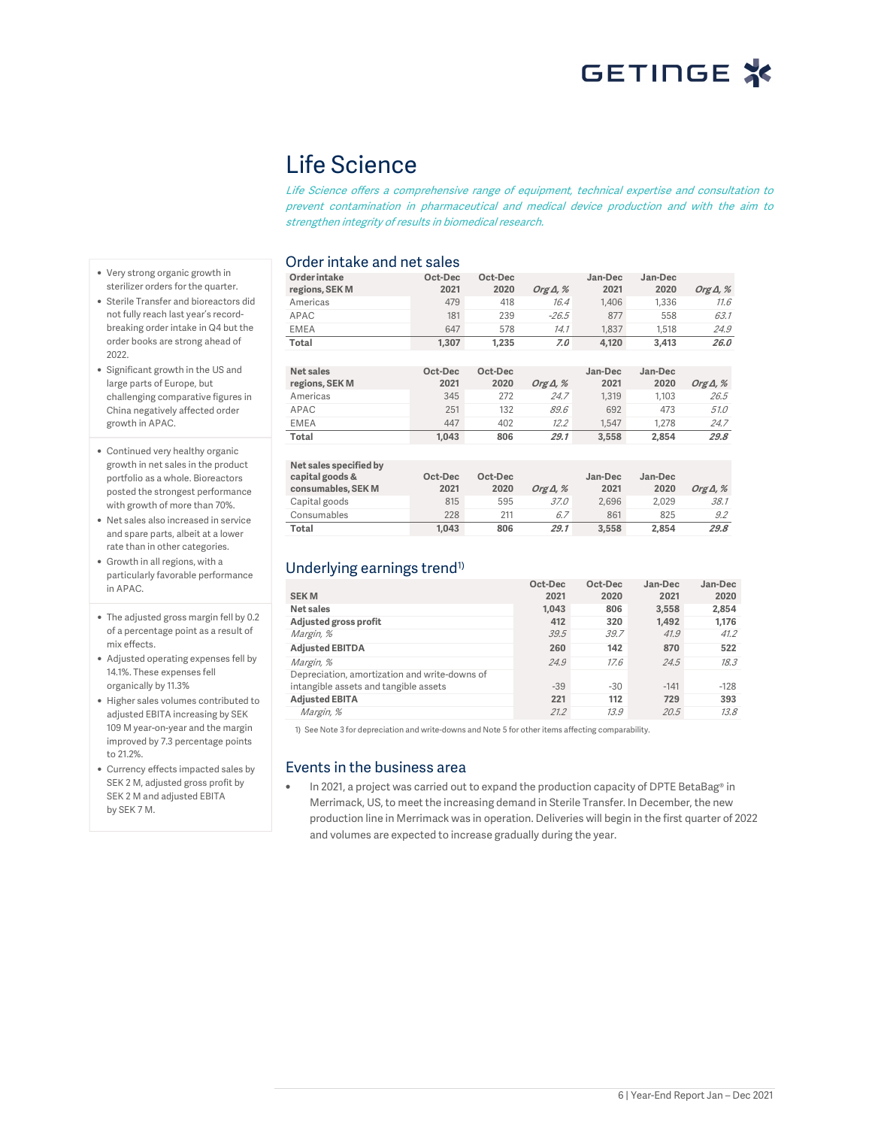# Life Science

Life Science offers a comprehensive range of equipment, technical expertise and consultation to prevent contamination in pharmaceutical and medical device production and with the aim to strengthen integrity of results in biomedical research.

## Order intake and net sales

**Order intake regions, SEK M Oct-Dec 2021 Oct-Dec 2020 Org Δ, % Jan-Dec 2021 Jan-Dec 2020 Org Δ, %** Americas 479 418 16.4 1,406 1,336 11.6 APAC 181 239 *-26.5* 877 558 *63.1* EMEA 647 578 14.1 1,837 1,518 24.9 **Total 1,307 1,235 7.0 4,120 3,413 26.0 Net sales regions, SEK M Oct-Dec Oct-Dec 2021 2020 Org Δ, % Jan-Dec Jan-Dec 2021**

| regions, SEK M | 2021  | 2020 | Org $\Delta$ , % | 2021  | 2020  | Org $\Delta$ , % |
|----------------|-------|------|------------------|-------|-------|------------------|
| Americas       | 345   | 272  | 24.7             | 1.319 | 1.103 | 26.5             |
| APAC           | 251   | 132  | 89.6             | 692   | 473   | <i>51.0</i>      |
| <b>EMEA</b>    | 447   | 402  | 12.2             | 1.547 | 1.278 | 24.7             |
| Total          | 1.043 | 806  | 29.1             | 3.558 | 2.854 | 29.8             |

| Net sales specified by<br>capital goods &<br>consumables, SEK M | Oct-Dec<br>2021 | Oct-Dec<br>2020 | Org $\Delta$ , % | Jan-Dec<br>2021 | Jan-Dec<br>2020 | Org $\Delta$ , % |
|-----------------------------------------------------------------|-----------------|-----------------|------------------|-----------------|-----------------|------------------|
| Capital goods                                                   | 815             | 595             | 37.0             | 2.696           | 2.029           | 38.1             |
| Consumables                                                     | 228             | 211             | 6.7              | 861             | 825             | 9.2              |
| Total                                                           | 1.043           | 806             | 29.1             | 3.558           | 2.854           | 29.8             |

## Underlying earnings trend<sup>1)</sup>

|                                               | Oct-Dec | Oct-Dec | Jan-Dec | Jan-Dec |
|-----------------------------------------------|---------|---------|---------|---------|
| <b>SEKM</b>                                   | 2021    | 2020    | 2021    | 2020    |
| Net sales                                     | 1.043   | 806     | 3.558   | 2,854   |
| Adjusted gross profit                         | 412     | 320     | 1.492   | 1.176   |
| Margin, %                                     | 39.5    | 39.7    | 41.9    | 41.2    |
| <b>Adjusted EBITDA</b>                        | 260     | 142     | 870     | 522     |
| Margin, %                                     | 24.9    | 17.6    | 24.5    | 18.3    |
| Depreciation, amortization and write-downs of |         |         |         |         |
| intangible assets and tangible assets         | $-39$   | $-30$   | $-141$  | $-128$  |
| <b>Adjusted EBITA</b>                         | 221     | 112     | 729     | 393     |
| Margin, %                                     | 21.2    | 13.9    | 20.5    | 13.8    |

1) See Note 3 for depreciation and write-downs and Note 5 for other items affecting comparability.

### Events in the business area

In 2021, a project was carried out to expand the production capacity of DPTE BetaBag® in Merrimack, US, to meet the increasing demand in Sterile Transfer. In December, the new production line in Merrimack was in operation. Deliveries will begin in the first quarter of 2022 and volumes are expected to increase gradually during the year.

- Very strong organic growth in sterilizer orders for the quarter.
- Sterile Transfer and bioreactors did not fully reach last year's recordbreaking order intake in Q4 but the order books are strong ahead of 2022.
- Significant growth in the US and large parts of Europe, but challenging comparative figures in China negatively affected order growth in APAC.
- Continued very healthy organic growth in net sales in the product portfolio as a whole. Bioreactors posted the strongest performance with growth of more than 70%.
- Net sales also increased in service and spare parts, albeit at a lower rate than in other categories.
- Growth in all regions, with a particularly favorable performance in APAC.
- The adjusted gross margin fell by 0.2 of a percentage point as a result of mix effects.
- Adjusted operating expenses fell by 14.1%. These expenses fell organically by 11.3%
- Higher sales volumes contributed to adjusted EBITA increasing by SEK 109 M year-on-year and the margin improved by 7.3 percentage points to 21.2%.
- Currency effects impacted sales by SEK 2 M, adjusted gross profit by SEK 2 M and adjusted EBITA by SEK 7 M.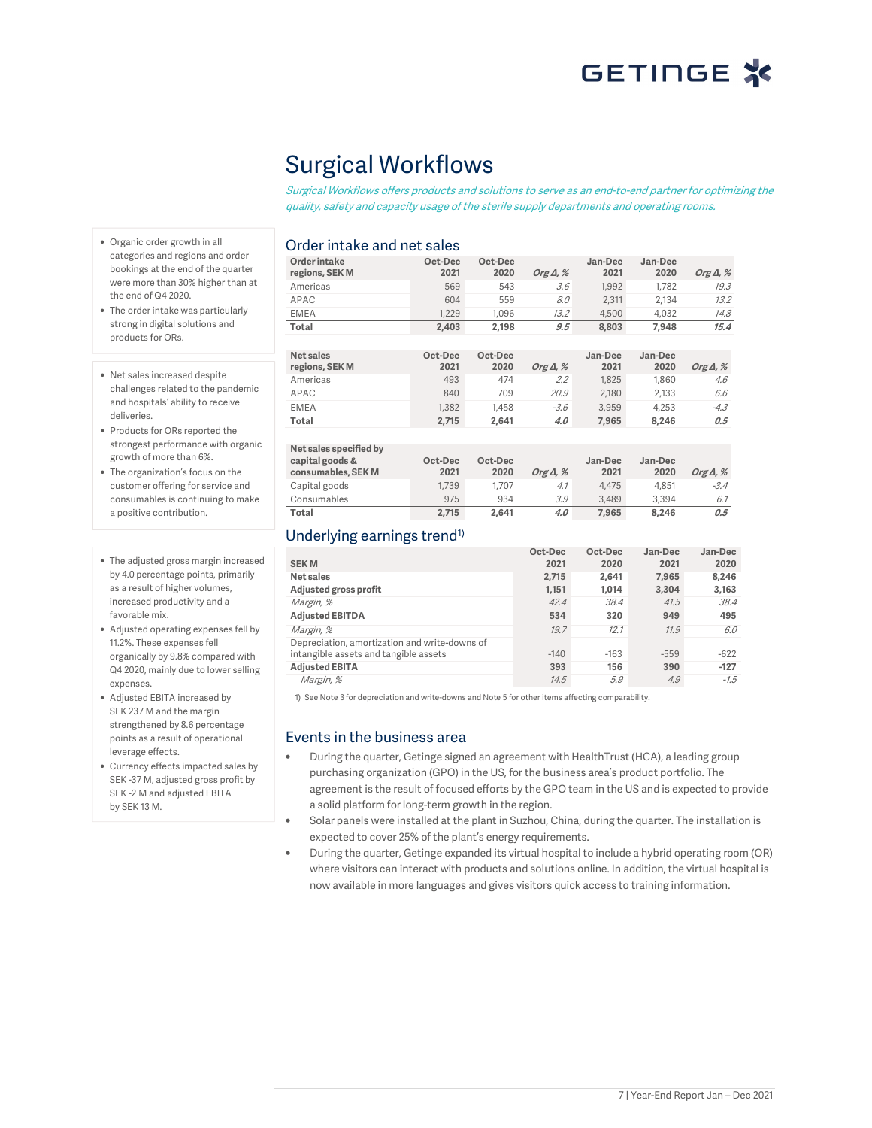# Surgical Workflows

Surgical Workflows offers products and solutions to serve as an end-to-end partner for optimizing the quality, safety and capacity usage of the sterile supply departments and operating rooms.

### Order intake and net sales

| Order intake<br>regions, SEK M | Oct-Dec<br>2021 | Oct-Dec<br>2020 | Org $\Delta$ , % | Jan-Dec<br>2021 | Jan-Dec<br>2020 | Org $\Delta$ , % |
|--------------------------------|-----------------|-----------------|------------------|-----------------|-----------------|------------------|
| Americas                       | 569             | 543             | 3.6              | 1,992           | 1.782           | 19.3             |
| APAC                           | 604             | 559             | 8.0              | 2.311           | 2.134           | 13.2             |
| <b>EMEA</b>                    | 1.229           | 1.096           | 13.2             | 4.500           | 4.032           | 14.8             |
| Total                          | 2.403           | 2,198           | 9.5              | 8.803           | 7.948           | 15.4             |
|                                |                 |                 |                  |                 |                 |                  |
| Net sales<br>regions, SEK M    | Oct-Dec<br>2021 | Oct-Dec<br>2020 | Org $\Delta$ , % | Jan-Dec<br>2021 | Jan-Dec<br>2020 | Org $\Delta$ , % |
| Americas                       | 493             | 474             | 2.2              | 1.825           | 1.860           | 4.6              |
| APAC                           | 840             | 709             | 20.9             | 2.180           | 2.133           | 6.6              |
| <b>EMEA</b>                    | 1.382           | 1.458           | $-3.6$           | 3.959           | 4.253           | $-4.3$           |
| Total                          |                 |                 | 4.0              | 7,965           | 8,246           | 0.5              |
|                                | 2.715           | 2,641           |                  |                 |                 |                  |

| Net sales specified by<br>capital goods &<br>consumables, SEK M | Oct-Dec<br>2021 | Oct-Dec<br>2020 | Org $\Delta$ , % | Jan-Dec<br>2021 | Jan-Dec<br>2020 | Org $\Delta$ , % |
|-----------------------------------------------------------------|-----------------|-----------------|------------------|-----------------|-----------------|------------------|
| Capital goods                                                   | 1.739           | 1.707           | 4.1              | 4.475           | 4.851           | $-3.4$           |
| Consumables                                                     | 975             | 934             | 3.9              | 3.489           | 3.394           | 6.1              |
| Total                                                           | 2.715           | 2.641           | 4.0              | 7.965           | 8.246           | 0.5              |

## Underlying earnings trend<sup>1)</sup>

|                                               | Oct-Dec | Oct-Dec | Jan-Dec | Jan-Dec |
|-----------------------------------------------|---------|---------|---------|---------|
| <b>SEKM</b>                                   | 2021    | 2020    | 2021    | 2020    |
| Net sales                                     | 2.715   | 2.641   | 7.965   | 8.246   |
| Adjusted gross profit                         | 1.151   | 1.014   | 3.304   | 3,163   |
| Margin, %                                     | 42.4    | 38.4    | 41.5    | 38.4    |
| <b>Adjusted EBITDA</b>                        | 534     | 320     | 949     | 495     |
| Margin, %                                     | 19.7    | 12.1    | 11.9    | 6.0     |
| Depreciation, amortization and write-downs of |         |         |         |         |
| intangible assets and tangible assets         | $-140$  | $-163$  | $-559$  | $-622$  |
| <b>Adjusted EBITA</b>                         | 393     | 156     | 390     | $-127$  |
| Margin, %                                     | 14.5    | 5.9     | 4.9     | $-7.5$  |

1) See Note 3 for depreciation and write-downs and Note 5 for other items affecting comparability.

### Events in the business area

- During the quarter, Getinge signed an agreement with HealthTrust (HCA), a leading group purchasing organization (GPO) in the US, for the business area's product portfolio. The agreement is the result of focused efforts by the GPO team in the US and is expected to provide a solid platform for long-term growth in the region.
- Solar panels were installed at the plant in Suzhou, China, during the quarter. The installation is expected to cover 25% of the plant's energy requirements.
- During the quarter, Getinge expanded its virtual hospital to include a hybrid operating room (OR) where visitors can interact with products and solutions online. In addition, the virtual hospital is now available in more languages and gives visitors quick access to training information.
- Organic order growth in all categories and regions and order bookings at the end of the quarter were more than 30% higher than at the end of Q4 2020.
- The order intake was particularly strong in digital solutions and products for ORs.
- Net sales increased despite challenges related to the pandemic and hospitals' ability to receive deliveries.
- Products for ORs reported the strongest performance with organic growth of more than 6%.
- The organization's focus on the customer offering for service and consumables is continuing to make a positive contribution.
- The adjusted gross margin increased by 4.0 percentage points, primarily as a result of higher volumes, increased productivity and a favorable mix.
- Adjusted operating expenses fell by 11.2%. These expenses fell organically by 9.8% compared with Q4 2020, mainly due to lower selling expenses
- Adjusted EBITA increased by SEK 237 M and the margin strengthened by 8.6 percentage points as a result of operational leverage effects.
- Currency effects impacted sales by SEK -37 M, adjusted gross profit by SEK -2 M and adjusted EBITA by SEK 13 M.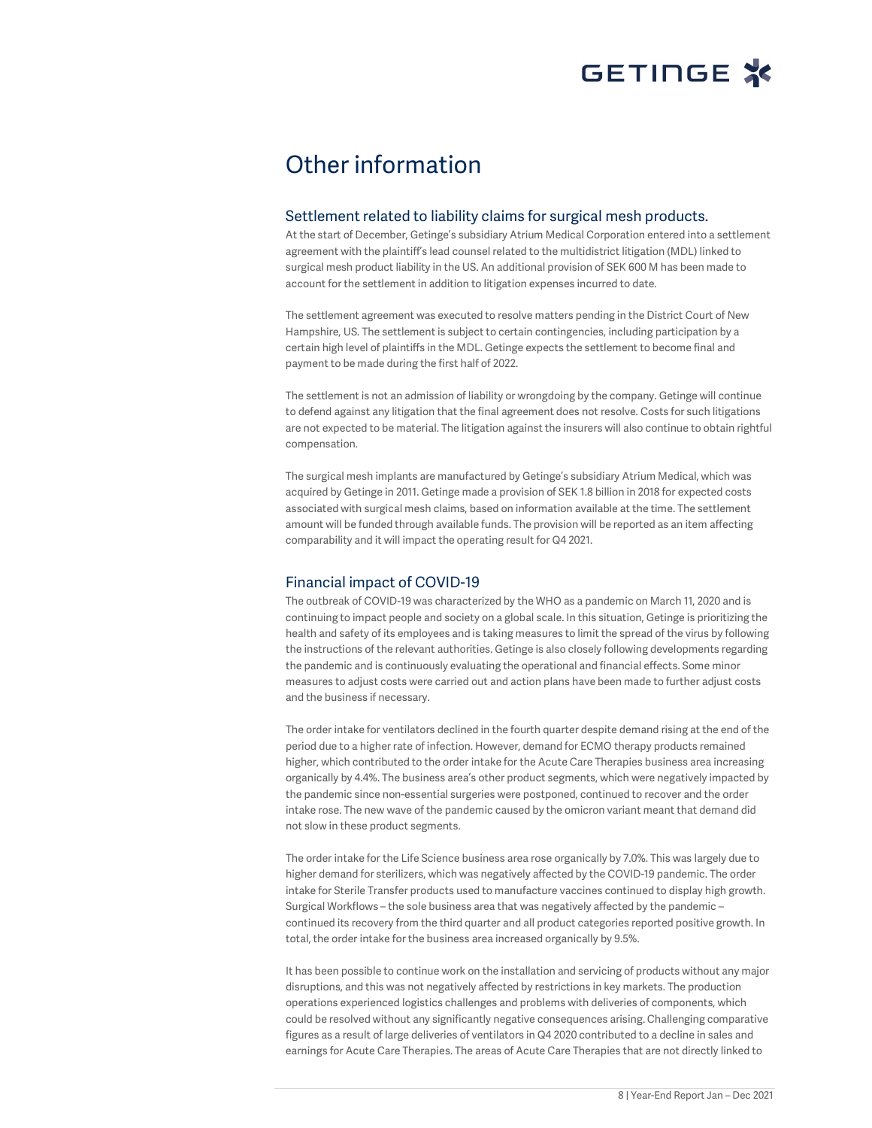# Other information

### Settlement related to liability claims for surgical mesh products.

At the start of December, Getinge's subsidiary Atrium Medical Corporation entered into a settlement agreement with the plaintiff's lead counsel related to the multidistrict litigation (MDL) linked to surgical mesh product liability in the US. An additional provision of SEK 600 M has been made to account for the settlement in addition to litigation expenses incurred to date.

The settlement agreement was executed to resolve matters pending in the District Court of New Hampshire, US. The settlement is subject to certain contingencies, including participation by a certain high level of plaintiffs in the MDL. Getinge expects the settlement to become final and payment to be made during the first half of 2022.

The settlement is not an admission of liability or wrongdoing by the company. Getinge will continue to defend against any litigation that the final agreement does not resolve. Costs for such litigations are not expected to be material. The litigation against the insurers will also continue to obtain rightful compensation.

The surgical mesh implants are manufactured by Getinge's subsidiary Atrium Medical, which was acquired by Getinge in 2011. Getinge made a provision of SEK 1.8 billion in 2018 for expected costs associated with surgical mesh claims, based on information available at the time. The settlement amount will be funded through available funds. The provision will be reported as an item affecting comparability and it will impact the operating result for Q4 2021.

### Financial impact of COVID-19

The outbreak of COVID-19 was characterized by the WHO as a pandemic on March 11, 2020 and is continuing to impact people and society on a global scale. In this situation, Getinge is prioritizing the health and safety of its employees and is taking measures to limit the spread of the virus by following the instructions of the relevant authorities. Getinge is also closely following developments regarding the pandemic and is continuously evaluating the operational and financial effects. Some minor measures to adjust costs were carried out and action plans have been made to further adjust costs and the business if necessary.

The order intake for ventilators declined in the fourth quarter despite demand rising at the end of the period due to a higher rate of infection. However, demand for ECMO therapy products remained higher, which contributed to the order intake for the Acute Care Therapies business area increasing organically by 4.4%. The business area's other product segments, which were negatively impacted by the pandemic since non-essential surgeries were postponed, continued to recover and the order intake rose. The new wave of the pandemic caused by the omicron variant meant that demand did not slow in these product segments.

The order intake for the Life Science business area rose organically by 7.0%. This was largely due to higher demand for sterilizers, which was negatively affected by the COVID-19 pandemic. The order intake for Sterile Transfer products used to manufacture vaccines continued to display high growth. Surgical Workflows – the sole business area that was negatively affected by the pandemic – continued its recovery from the third quarter and all product categories reported positive growth. In total, the order intake for the business area increased organically by 9.5%.

It has been possible to continue work on the installation and servicing of products without any major disruptions, and this was not negatively affected by restrictions in key markets. The production operations experienced logistics challenges and problems with deliveries of components, which could be resolved without any significantly negative consequences arising. Challenging comparative figures as a result of large deliveries of ventilators in Q4 2020 contributed to a decline in sales and earnings for Acute Care Therapies. The areas of Acute Care Therapies that are not directly linked to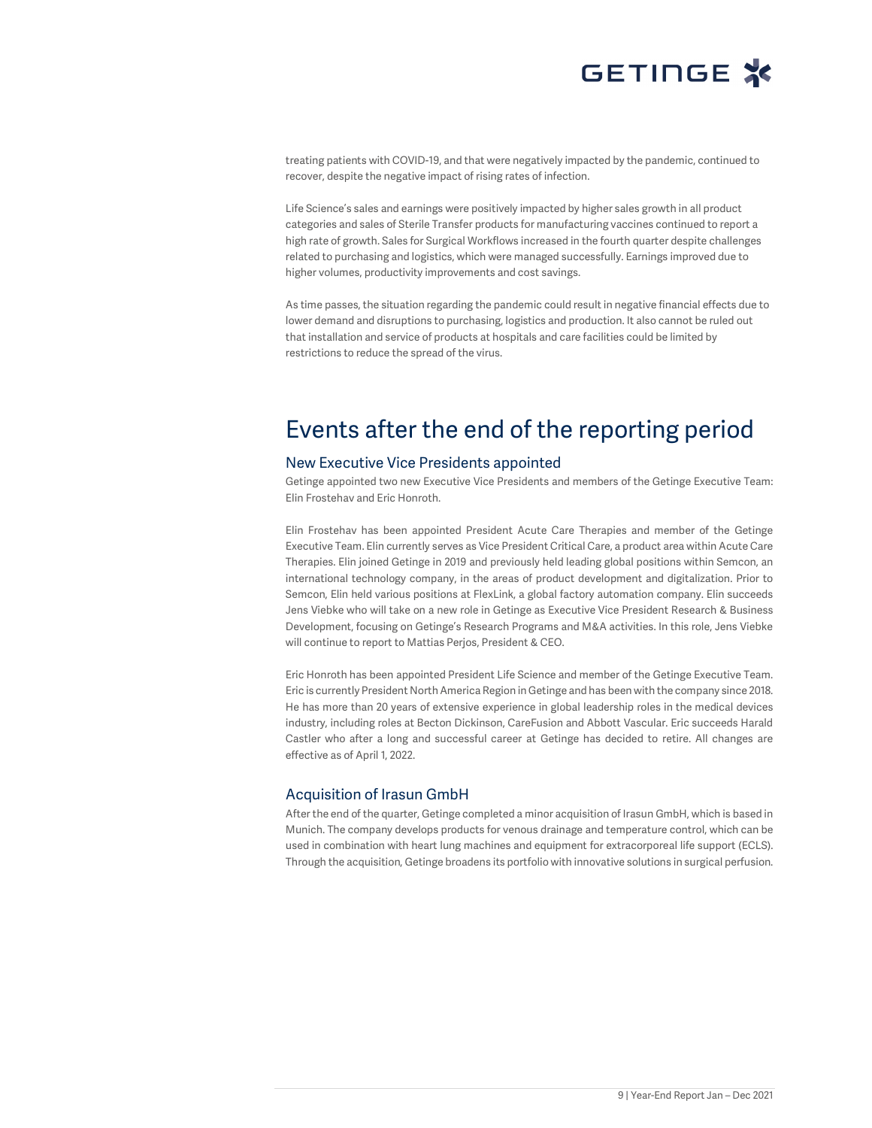

treating patients with COVID-19, and that were negatively impacted by the pandemic, continued to recover, despite the negative impact of rising rates of infection.

Life Science's sales and earnings were positively impacted by higher sales growth in all product categories and sales of Sterile Transfer products for manufacturing vaccines continued to report a high rate of growth. Sales for Surgical Workflows increased in the fourth quarter despite challenges related to purchasing and logistics, which were managed successfully. Earnings improved due to higher volumes, productivity improvements and cost savings.

As time passes, the situation regarding the pandemic could result in negative financial effects due to lower demand and disruptions to purchasing, logistics and production. It also cannot be ruled out that installation and service of products at hospitals and care facilities could be limited by restrictions to reduce the spread of the virus.

# Events after the end of the reporting period

#### New Executive Vice Presidents appointed

Getinge appointed two new Executive Vice Presidents and members of the Getinge Executive Team: Elin Frostehav and Eric Honroth.

Elin Frostehav has been appointed President Acute Care Therapies and member of the Getinge Executive Team. Elin currently serves as Vice President Critical Care, a product area within Acute Care Therapies. Elin joined Getinge in 2019 and previously held leading global positions within Semcon, an international technology company, in the areas of product development and digitalization. Prior to Semcon, Elin held various positions at FlexLink, a global factory automation company. Elin succeeds Jens Viebke who will take on a new role in Getinge as Executive Vice President Research & Business Development, focusing on Getinge's Research Programs and M&A activities. In this role, Jens Viebke will continue to report to Mattias Perjos, President & CEO.

Eric Honroth has been appointed President Life Science and member of the Getinge Executive Team. Eric is currently President North America Region in Getinge and has been with the company since 2018. He has more than 20 years of extensive experience in global leadership roles in the medical devices industry, including roles at Becton Dickinson, CareFusion and Abbott Vascular. Eric succeeds Harald Castler who after a long and successful career at Getinge has decided to retire. All changes are effective as of April 1, 2022.

### Acquisition of Irasun GmbH

After the end of the quarter, Getinge completed a minor acquisition of Irasun GmbH, which is based in Munich. The company develops products for venous drainage and temperature control, which can be used in combination with heart lung machines and equipment for extracorporeal life support (ECLS). Through the acquisition, Getinge broadens its portfolio with innovative solutions in surgical perfusion.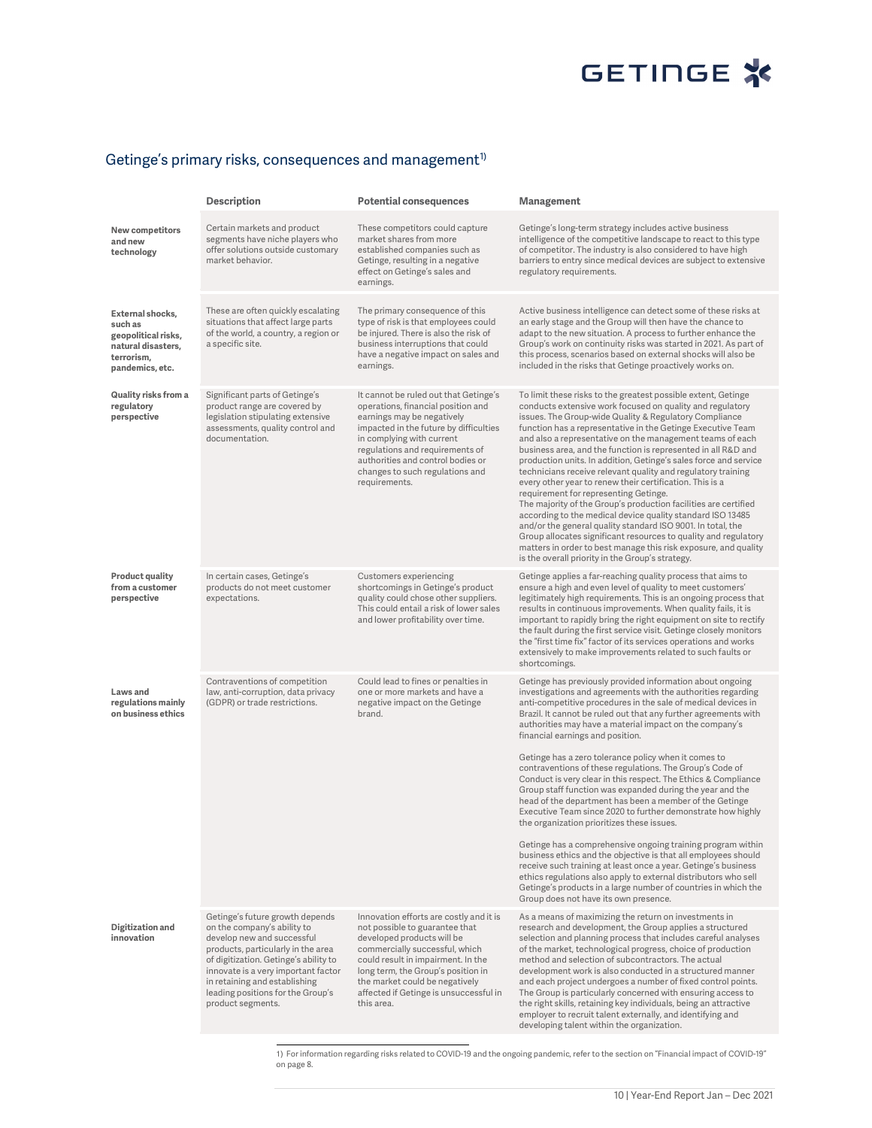#### Getinge's primary risks, consequences and management $^{\textrm{\tiny{\textup{1}}}}$

|                                                                                                           | <b>Description</b>                                                                                                                                                                                                                                                                                            | <b>Potential consequences</b>                                                                                                                                                                                                                                                                                   | Management                                                                                                                                                                                                                                                                                                                                                                                                                                                                                                                                                                                                                                                                                                                                                                                                                                                                                                                                                                                                                                                                                                                                                               |
|-----------------------------------------------------------------------------------------------------------|---------------------------------------------------------------------------------------------------------------------------------------------------------------------------------------------------------------------------------------------------------------------------------------------------------------|-----------------------------------------------------------------------------------------------------------------------------------------------------------------------------------------------------------------------------------------------------------------------------------------------------------------|--------------------------------------------------------------------------------------------------------------------------------------------------------------------------------------------------------------------------------------------------------------------------------------------------------------------------------------------------------------------------------------------------------------------------------------------------------------------------------------------------------------------------------------------------------------------------------------------------------------------------------------------------------------------------------------------------------------------------------------------------------------------------------------------------------------------------------------------------------------------------------------------------------------------------------------------------------------------------------------------------------------------------------------------------------------------------------------------------------------------------------------------------------------------------|
| <b>New competitors</b><br>and new<br>technology                                                           | Certain markets and product<br>segments have niche players who<br>offer solutions outside customary<br>market behavior.                                                                                                                                                                                       | These competitors could capture<br>market shares from more<br>established companies such as<br>Getinge, resulting in a negative<br>effect on Getinge's sales and<br>earnings.                                                                                                                                   | Getinge's long-term strategy includes active business<br>intelligence of the competitive landscape to react to this type<br>of competitor. The industry is also considered to have high<br>barriers to entry since medical devices are subject to extensive<br>regulatory requirements.                                                                                                                                                                                                                                                                                                                                                                                                                                                                                                                                                                                                                                                                                                                                                                                                                                                                                  |
| External shocks,<br>such as<br>geopolitical risks,<br>natural disasters,<br>terrorism.<br>pandemics, etc. | These are often quickly escalating<br>situations that affect large parts<br>of the world, a country, a region or<br>a specific site.                                                                                                                                                                          | The primary consequence of this<br>type of risk is that employees could<br>be injured. There is also the risk of<br>business interruptions that could<br>have a negative impact on sales and<br>earnings.                                                                                                       | Active business intelligence can detect some of these risks at<br>an early stage and the Group will then have the chance to<br>adapt to the new situation. A process to further enhance the<br>Group's work on continuity risks was started in 2021. As part of<br>this process, scenarios based on external shocks will also be<br>included in the risks that Getinge proactively works on.                                                                                                                                                                                                                                                                                                                                                                                                                                                                                                                                                                                                                                                                                                                                                                             |
| Quality risks from a<br>regulatory<br>perspective                                                         | Significant parts of Getinge's<br>product range are covered by<br>legislation stipulating extensive<br>assessments, quality control and<br>documentation.                                                                                                                                                     | It cannot be ruled out that Getinge's<br>operations, financial position and<br>earnings may be negatively<br>impacted in the future by difficulties<br>in complying with current<br>regulations and requirements of<br>authorities and control bodies or<br>changes to such regulations and<br>requirements.    | To limit these risks to the greatest possible extent, Getinge<br>conducts extensive work focused on quality and regulatory<br>issues. The Group-wide Quality & Regulatory Compliance<br>function has a representative in the Getinge Executive Team<br>and also a representative on the management teams of each<br>business area, and the function is represented in all R&D and<br>production units. In addition, Getinge's sales force and service<br>technicians receive relevant quality and regulatory training<br>every other year to renew their certification. This is a<br>requirement for representing Getinge.<br>The majority of the Group's production facilities are certified<br>according to the medical device quality standard ISO 13485<br>and/or the general quality standard ISO 9001. In total, the<br>Group allocates significant resources to quality and regulatory<br>matters in order to best manage this risk exposure, and quality<br>is the overall priority in the Group's strategy.                                                                                                                                                     |
| Product quality<br>from a customer<br>perspective                                                         | In certain cases, Getinge's<br>products do not meet customer<br>expectations.                                                                                                                                                                                                                                 | Customers experiencing<br>shortcomings in Getinge's product<br>quality could chose other suppliers.<br>This could entail a risk of lower sales<br>and lower profitability over time.                                                                                                                            | Getinge applies a far-reaching quality process that aims to<br>ensure a high and even level of quality to meet customers'<br>legitimately high requirements. This is an ongoing process that<br>results in continuous improvements. When quality fails, it is<br>important to rapidly bring the right equipment on site to rectify<br>the fault during the first service visit. Getinge closely monitors<br>the "first time fix" factor of its services operations and works<br>extensively to make improvements related to such faults or<br>shortcomings.                                                                                                                                                                                                                                                                                                                                                                                                                                                                                                                                                                                                              |
| Laws and<br>regulations mainly<br>on business ethics                                                      | Contraventions of competition<br>law, anti-corruption, data privacy<br>(GDPR) or trade restrictions.                                                                                                                                                                                                          | Could lead to fines or penalties in<br>one or more markets and have a<br>negative impact on the Getinge<br>brand.                                                                                                                                                                                               | Getinge has previously provided information about ongoing<br>investigations and agreements with the authorities regarding<br>anti-competitive procedures in the sale of medical devices in<br>Brazil. It cannot be ruled out that any further agreements with<br>authorities may have a material impact on the company's<br>financial earnings and position.<br>Getinge has a zero tolerance policy when it comes to<br>contraventions of these regulations. The Group's Code of<br>Conduct is very clear in this respect. The Ethics & Compliance<br>Group staff function was expanded during the year and the<br>head of the department has been a member of the Getinge<br>Executive Team since 2020 to further demonstrate how highly<br>the organization prioritizes these issues.<br>Getinge has a comprehensive ongoing training program within<br>business ethics and the objective is that all employees should<br>receive such training at least once a year. Getinge's business<br>ethics regulations also apply to external distributors who sell<br>Getinge's products in a large number of countries in which the<br>Group does not have its own presence. |
| Digitization and<br>innovation                                                                            | Getinge's future growth depends<br>on the company's ability to<br>develop new and successful<br>products, particularly in the area<br>of digitization. Getinge's ability to<br>innovate is a very important factor<br>in retaining and establishing<br>leading positions for the Group's<br>product segments. | Innovation efforts are costly and it is<br>not possible to guarantee that<br>developed products will be<br>commercially successful, which<br>could result in impairment. In the<br>long term, the Group's position in<br>the market could be negatively<br>affected if Getinge is unsuccessful in<br>this area. | As a means of maximizing the return on investments in<br>research and development, the Group applies a structured<br>selection and planning process that includes careful analyses<br>of the market, technological progress, choice of production<br>method and selection of subcontractors. The actual<br>development work is also conducted in a structured manner<br>and each project undergoes a number of fixed control points.<br>The Group is particularly concerned with ensuring access to<br>the right skills, retaining key individuals, being an attractive<br>employer to recruit talent externally, and identifying and<br>developing talent within the organization.                                                                                                                                                                                                                                                                                                                                                                                                                                                                                      |

1) For information regarding risks related to COVID-19 and the ongoing pandemic, refer to the section on "Financial impact of COVID-19" on page 8.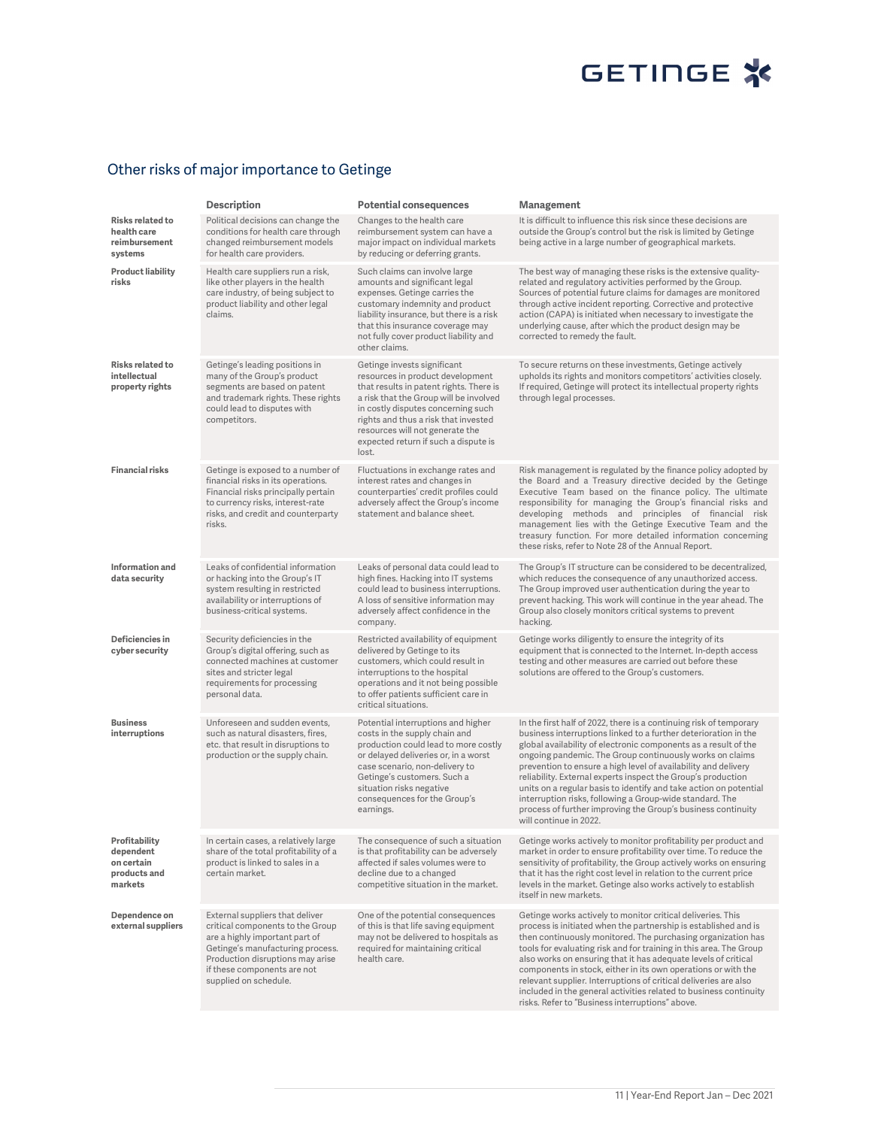# GETINGE<sup>\*</sup>

## Other risks of major importance to Getinge

|                                                                     | Description                                                                                                                                                                                                                           | <b>Potential consequences</b>                                                                                                                                                                                                                                                                                          | <b>Management</b>                                                                                                                                                                                                                                                                                                                                                                                                                                                                                                                                                                                                                 |
|---------------------------------------------------------------------|---------------------------------------------------------------------------------------------------------------------------------------------------------------------------------------------------------------------------------------|------------------------------------------------------------------------------------------------------------------------------------------------------------------------------------------------------------------------------------------------------------------------------------------------------------------------|-----------------------------------------------------------------------------------------------------------------------------------------------------------------------------------------------------------------------------------------------------------------------------------------------------------------------------------------------------------------------------------------------------------------------------------------------------------------------------------------------------------------------------------------------------------------------------------------------------------------------------------|
| Risks related to<br>health care<br>reimbursement<br>systems         | Political decisions can change the<br>conditions for health care through<br>changed reimbursement models<br>for health care providers.                                                                                                | Changes to the health care<br>reimbursement system can have a<br>major impact on individual markets<br>by reducing or deferring grants.                                                                                                                                                                                | It is difficult to influence this risk since these decisions are<br>outside the Group's control but the risk is limited by Getinge<br>being active in a large number of geographical markets.                                                                                                                                                                                                                                                                                                                                                                                                                                     |
| <b>Product liability</b><br>risks                                   | Health care suppliers run a risk,<br>like other players in the health<br>care industry, of being subject to<br>product liability and other legal<br>claims.                                                                           | Such claims can involve large<br>amounts and significant legal<br>expenses. Getinge carries the<br>customary indemnity and product<br>liability insurance, but there is a risk<br>that this insurance coverage may<br>not fully cover product liability and<br>other claims.                                           | The best way of managing these risks is the extensive quality-<br>related and regulatory activities performed by the Group.<br>Sources of potential future claims for damages are monitored<br>through active incident reporting. Corrective and protective<br>action (CAPA) is initiated when necessary to investigate the<br>underlying cause, after which the product design may be<br>corrected to remedy the fault.                                                                                                                                                                                                          |
| Risks related to<br>intellectual<br>property rights                 | Getinge's leading positions in<br>many of the Group's product<br>segments are based on patent<br>and trademark rights. These rights<br>could lead to disputes with<br>competitors.                                                    | Getinge invests significant<br>resources in product development<br>that results in patent rights. There is<br>a risk that the Group will be involved<br>in costly disputes concerning such<br>rights and thus a risk that invested<br>resources will not generate the<br>expected return if such a dispute is<br>lost. | To secure returns on these investments, Getinge actively<br>upholds its rights and monitors competitors' activities closely.<br>If required, Getinge will protect its intellectual property rights<br>through legal processes.                                                                                                                                                                                                                                                                                                                                                                                                    |
| <b>Financial risks</b>                                              | Getinge is exposed to a number of<br>financial risks in its operations.<br>Financial risks principally pertain<br>to currency risks, interest-rate<br>risks, and credit and counterparty<br>risks.                                    | Fluctuations in exchange rates and<br>interest rates and changes in<br>counterparties' credit profiles could<br>adversely affect the Group's income<br>statement and balance sheet.                                                                                                                                    | Risk management is regulated by the finance policy adopted by<br>the Board and a Treasury directive decided by the Getinge<br>Executive Team based on the finance policy. The ultimate<br>responsibility for managing the Group's financial risks and<br>developing methods and principles of financial risk<br>management lies with the Getinge Executive Team and the<br>treasury function. For more detailed information concerning<br>these risks, refer to Note 28 of the Annual Report.                                                                                                                                     |
| Information and<br>data security                                    | Leaks of confidential information<br>or hacking into the Group's IT<br>system resulting in restricted<br>availability or interruptions of<br>business-critical systems.                                                               | Leaks of personal data could lead to<br>high fines. Hacking into IT systems<br>could lead to business interruptions.<br>A loss of sensitive information may<br>adversely affect confidence in the<br>company.                                                                                                          | The Group's IT structure can be considered to be decentralized,<br>which reduces the consequence of any unauthorized access.<br>The Group improved user authentication during the year to<br>prevent hacking. This work will continue in the year ahead. The<br>Group also closely monitors critical systems to prevent<br>hacking.                                                                                                                                                                                                                                                                                               |
| Deficiencies in<br>cyber security                                   | Security deficiencies in the<br>Group's digital offering, such as<br>connected machines at customer<br>sites and stricter legal<br>requirements for processing<br>personal data.                                                      | Restricted availability of equipment<br>delivered by Getinge to its<br>customers, which could result in<br>interruptions to the hospital<br>operations and it not being possible<br>to offer patients sufficient care in<br>critical situations.                                                                       | Getinge works diligently to ensure the integrity of its<br>equipment that is connected to the Internet. In-depth access<br>testing and other measures are carried out before these<br>solutions are offered to the Group's customers.                                                                                                                                                                                                                                                                                                                                                                                             |
| <b>Business</b><br>interruptions                                    | Unforeseen and sudden events,<br>such as natural disasters, fires,<br>etc. that result in disruptions to<br>production or the supply chain.                                                                                           | Potential interruptions and higher<br>costs in the supply chain and<br>production could lead to more costly<br>or delayed deliveries or, in a worst<br>case scenario, non-delivery to<br>Getinge's customers. Such a<br>situation risks negative<br>consequences for the Group's<br>earnings.                          | In the first half of 2022, there is a continuing risk of temporary<br>business interruptions linked to a further deterioration in the<br>global availability of electronic components as a result of the<br>ongoing pandemic. The Group continuously works on claims<br>prevention to ensure a high level of availability and delivery<br>reliability. External experts inspect the Group's production<br>units on a regular basis to identify and take action on potential<br>interruption risks, following a Group-wide standard. The<br>process of further improving the Group's business continuity<br>will continue in 2022. |
| Profitability<br>dependent<br>on certain<br>products and<br>markets | In certain cases, a relatively large<br>share of the total profitability of a<br>product is linked to sales in a<br>certain market.                                                                                                   | The consequence of such a situation<br>is that profitability can be adversely<br>affected if sales volumes were to<br>decline due to a changed<br>competitive situation in the market.                                                                                                                                 | Getinge works actively to monitor profitability per product and<br>market in order to ensure profitability over time. To reduce the<br>sensitivity of profitability, the Group actively works on ensuring<br>that it has the right cost level in relation to the current price<br>levels in the market. Getinge also works actively to establish<br>itself in new markets.                                                                                                                                                                                                                                                        |
| Dependence on<br>external suppliers                                 | External suppliers that deliver<br>critical components to the Group<br>are a highly important part of<br>Getinge's manufacturing process.<br>Production disruptions may arise<br>if these components are not<br>supplied on schedule. | One of the potential consequences<br>of this is that life saving equipment<br>may not be delivered to hospitals as<br>required for maintaining critical<br>health care.                                                                                                                                                | Getinge works actively to monitor critical deliveries. This<br>process is initiated when the partnership is established and is<br>then continuously monitored. The purchasing organization has<br>tools for evaluating risk and for training in this area. The Group<br>also works on ensuring that it has adequate levels of critical<br>components in stock, either in its own operations or with the<br>relevant supplier. Interruptions of critical deliveries are also<br>included in the general activities related to business continuity<br>risks. Refer to "Business interruptions" above.                               |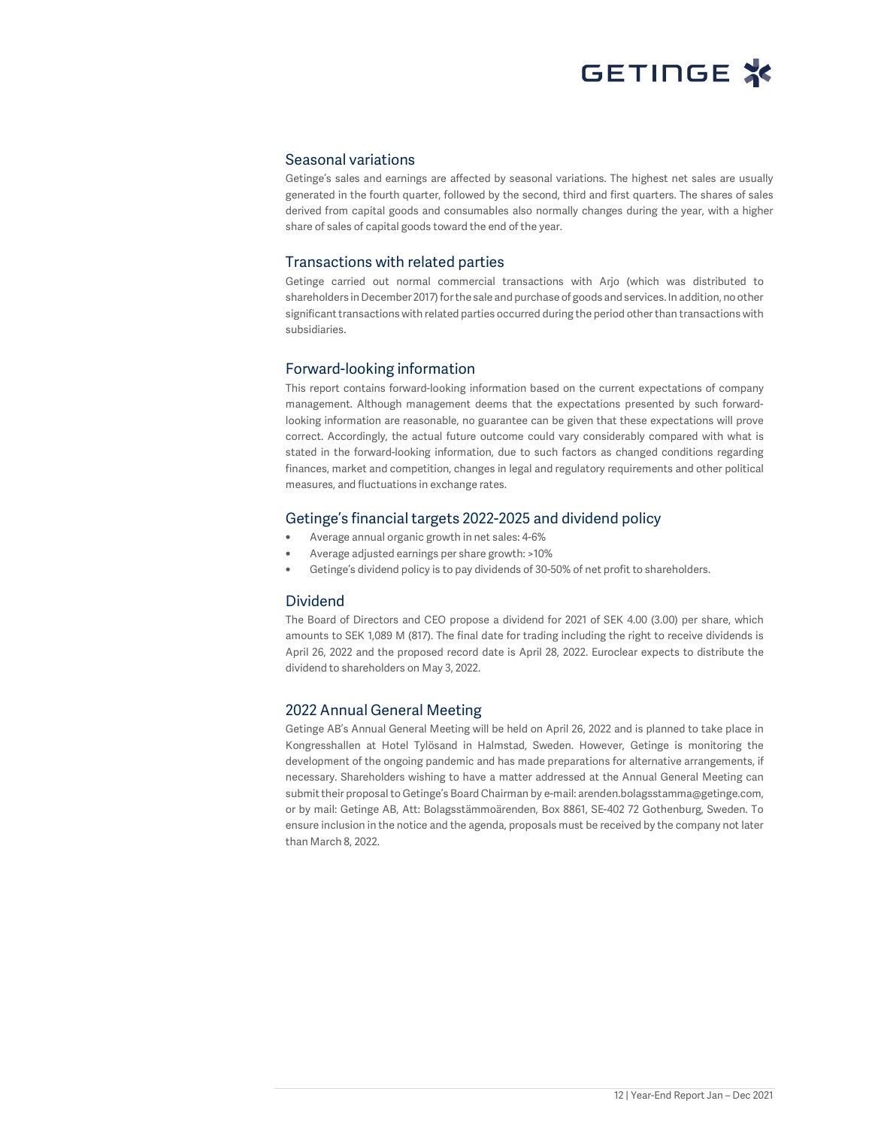#### Seasonal variations

Getinge's sales and earnings are affected by seasonal variations. The highest net sales are usually generated in the fourth quarter, followed by the second, third and first quarters. The shares of sales derived from capital goods and consumables also normally changes during the year, with a higher share of sales of capital goods toward the end of the year.

### Transactions with related parties

Getinge carried out normal commercial transactions with Arjo (which was distributed to shareholders in December 2017) for the sale and purchase of goods and services. In addition, no other significant transactions with related parties occurred during the period other than transactions with subsidiaries.

### Forward-looking information

This report contains forward-looking information based on the current expectations of company management. Although management deems that the expectations presented by such forwardlooking information are reasonable, no guarantee can be given that these expectations will prove correct. Accordingly, the actual future outcome could vary considerably compared with what is stated in the forward-looking information, due to such factors as changed conditions regarding finances, market and competition, changes in legal and regulatory requirements and other political measures, and fluctuations in exchange rates.

### Getinge's financial targets 2022-2025 and dividend policy

- Average annual organic growth in net sales: 4-6%
- Average adjusted earnings per share growth: >10%
- Getinge's dividend policy is to pay dividends of 30-50% of net profit to shareholders.

### Dividend

The Board of Directors and CEO propose a dividend for 2021 of SEK 4.00 (3.00) per share, which amounts to SEK 1,089 M (817). The final date for trading including the right to receive dividends is April 26, 2022 and the proposed record date is April 28, 2022. Euroclear expects to distribute the dividend to shareholders on May 3, 2022.

### 2022 Annual General Meeting

Getinge AB's Annual General Meeting will be held on April 26, 2022 and is planned to take place in Kongresshallen at Hotel Tylösand in Halmstad, Sweden. However, Getinge is monitoring the development of the ongoing pandemic and has made preparations for alternative arrangements, if necessary. Shareholders wishing to have a matter addressed at the Annual General Meeting can submit their proposal to Getinge's Board Chairman by e-mail: arenden.bolagsstamma@getinge.com, or by mail: Getinge AB, Att: Bolagsstämmoärenden, Box 8861, SE-402 72 Gothenburg, Sweden. To ensure inclusion in the notice and the agenda, proposals must be received by the company not later than March 8, 2022.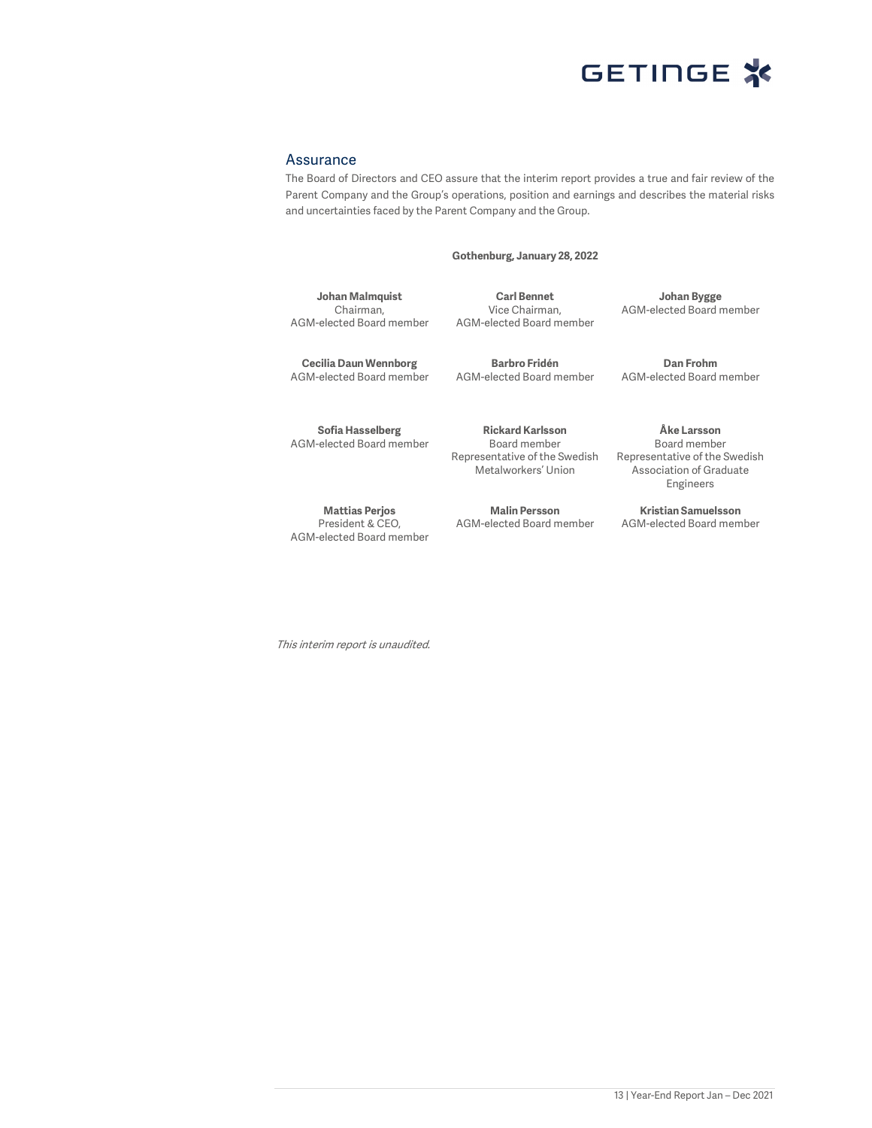

#### Assurance

The Board of Directors and CEO assure that the interim report provides a true and fair review of the Parent Company and the Group's operations, position and earnings and describes the material risks and uncertainties faced by the Parent Company and the Group.

**Gothenburg, January 28, 2022** 

**Johan Malmquist**  Chairman, AGM-elected Board member

**Carl Bennet**  Vice Chairman, AGM-elected Board member

**Johan Bygge**  AGM-elected Board member

**Cecilia Daun Wennborg**  AGM-elected Board member

**Sofia Hasselberg**  AGM-elected Board member

**Mattias Perjos**  President & CEO, AGM-elected Board member

**Barbro Fridén**  AGM-elected Board member

**Rickard Karlsson**  Board member Representative of the Swedish

Metalworkers' Union

**Malin Persson**  AGM-elected Board member

**Dan Frohm**  AGM-elected Board member

**Åke Larsson**  Board member Representative of the Swedish Association of Graduate Engineers

**Kristian Samuelsson**  AGM-elected Board member

This interim report is unaudited.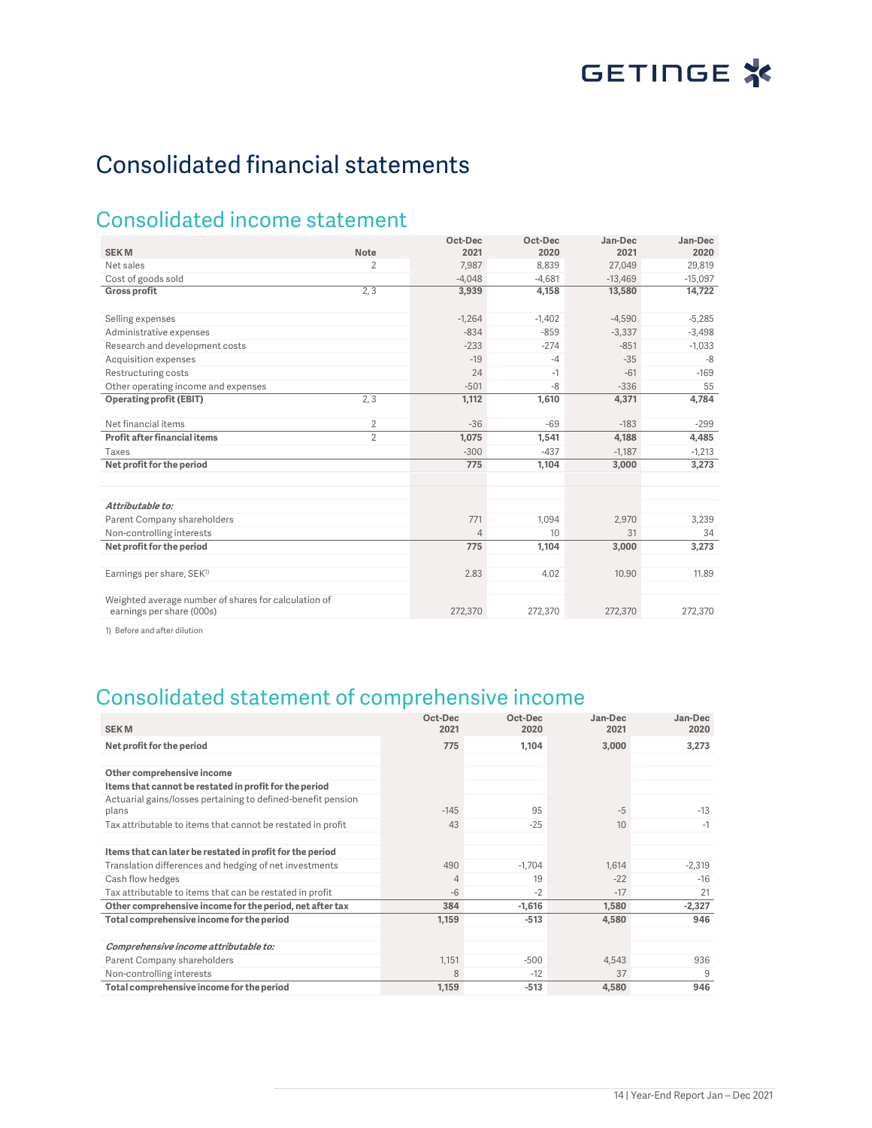# Consolidated financial statements

## Consolidated income statement

| <b>SEKM</b>                                                                       | <b>Note</b>    | Oct-Dec<br>2021 | Oct-Dec<br>2020 | Jan-Dec<br>2021 | Jan-Dec<br>2020 |
|-----------------------------------------------------------------------------------|----------------|-----------------|-----------------|-----------------|-----------------|
|                                                                                   |                |                 |                 |                 |                 |
| Net sales                                                                         | $\overline{2}$ | 7,987           | 8.839           | 27,049          | 29,819          |
| Cost of goods sold                                                                |                | $-4,048$        | $-4.681$        | $-13.469$       | $-15.097$       |
| <b>Gross profit</b>                                                               | 2, 3           | 3,939           | 4,158           | 13,580          | 14,722          |
| Selling expenses                                                                  |                | $-1,264$        | $-1,402$        | $-4,590$        | $-5,285$        |
| Administrative expenses                                                           |                | $-834$          | $-859$          | $-3,337$        | $-3,498$        |
| Research and development costs                                                    |                | $-233$          | $-274$          | $-851$          | $-1,033$        |
| Acquisition expenses                                                              |                | $-19$           | $-4$            | $-35$           | -8              |
| Restructuring costs                                                               |                | 24              | $-1$            | $-61$           | $-169$          |
| Other operating income and expenses                                               |                | $-501$          | $-8$            | $-336$          | 55              |
| <b>Operating profit (EBIT)</b>                                                    | 2.3            | 1,112           | 1,610           | 4,371           | 4,784           |
| Net financial items                                                               | $\overline{2}$ | $-36$           | $-69$           | $-183$          | $-299$          |
| Profit after financial items                                                      | $\mathcal{P}$  | 1,075           | 1,541           | 4,188           | 4,485           |
| Taxes                                                                             |                | $-300$          | $-437$          | $-1,187$        | $-1,213$        |
| Net profit for the period                                                         |                | 775             | 1,104           | 3,000           | 3,273           |
|                                                                                   |                |                 |                 |                 |                 |
| Attributable to:                                                                  |                |                 |                 |                 |                 |
| Parent Company shareholders                                                       |                | 771             | 1.094           | 2.970           | 3.239           |
| Non-controlling interests                                                         |                | $\overline{4}$  | 10 <sup>1</sup> | 31              | 34              |
| Net profit for the period                                                         |                | 775             | 1,104           | 3,000           | 3,273           |
| Earnings per share, SEK <sup>1)</sup>                                             |                | 2.83            | 4.02            | 10.90           | 11.89           |
| Weighted average number of shares for calculation of<br>earnings per share (000s) |                | 272,370         | 272,370         | 272,370         | 272,370         |

1) Before and after dilution

# Consolidated statement of comprehensive income

| <b>SEKM</b>                                                           | Oct-Dec<br>2021 | Oct-Dec<br>2020 | Jan-Dec<br>2021 | Jan-Dec<br>2020 |
|-----------------------------------------------------------------------|-----------------|-----------------|-----------------|-----------------|
| Net profit for the period                                             | 775             | 1,104           | 3,000           | 3,273           |
|                                                                       |                 |                 |                 |                 |
| Other comprehensive income                                            |                 |                 |                 |                 |
| Items that cannot be restated in profit for the period                |                 |                 |                 |                 |
| Actuarial gains/losses pertaining to defined-benefit pension<br>plans | $-145$          | 95              | $-5$            | $-13$           |
| Tax attributable to items that cannot be restated in profit           | 43              | $-25$           | 10              | $-1$            |
| Items that can later be restated in profit for the period             |                 |                 |                 |                 |
| Translation differences and hedging of net investments                | 490             | $-1,704$        | 1,614           | $-2,319$        |
| Cash flow hedges                                                      | $\overline{4}$  | 19              | $-22$           | $-16$           |
| Tax attributable to items that can be restated in profit              | $-6$            | $-2$            | $-17$           | 21              |
| Other comprehensive income for the period, net after tax              | 384             | $-1,616$        | 1,580           | $-2,327$        |
| Total comprehensive income for the period                             | 1,159           | $-513$          | 4,580           | 946             |
|                                                                       |                 |                 |                 |                 |
| Comprehensive income attributable to:                                 |                 |                 |                 |                 |
| Parent Company shareholders                                           | 1,151           | $-500$          | 4,543           | 936             |
| Non-controlling interests                                             | 8               | $-12$           | 37              | 9               |
| Total comprehensive income for the period                             | 1.159           | $-513$          | 4.580           | 946             |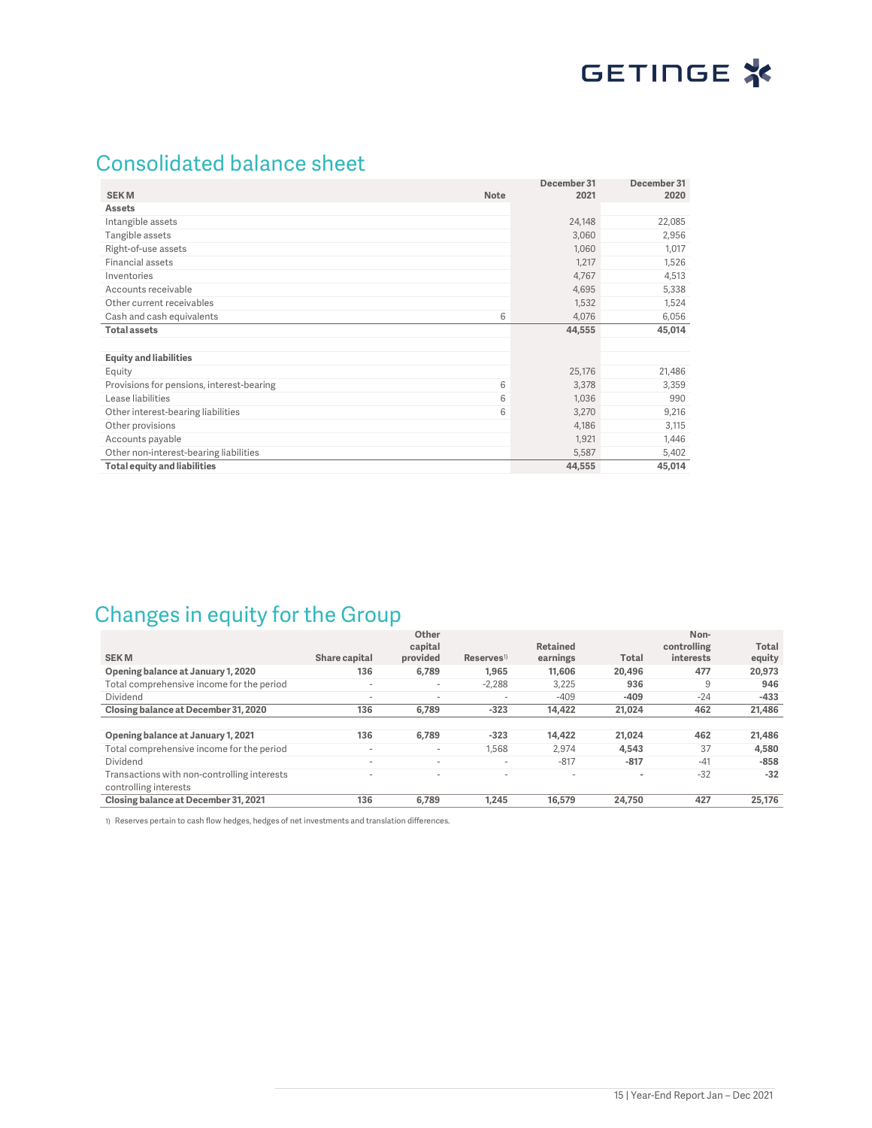## Consolidated balance sheet

| <b>SEKM</b><br><b>Note</b>                     | December 31<br>2021 | December 31<br>2020 |
|------------------------------------------------|---------------------|---------------------|
| <b>Assets</b>                                  |                     |                     |
| Intangible assets                              | 24,148              | 22,085              |
| Tangible assets                                | 3,060               | 2,956               |
| Right-of-use assets                            | 1,060               | 1,017               |
| Financial assets                               | 1,217               | 1,526               |
| Inventories                                    | 4,767               | 4,513               |
| Accounts receivable                            | 4,695               | 5,338               |
| Other current receivables                      | 1,532               | 1,524               |
| 6<br>Cash and cash equivalents                 | 4,076               | 6,056               |
| <b>Total assets</b>                            | 44,555              | 45,014              |
|                                                |                     |                     |
| <b>Equity and liabilities</b>                  |                     |                     |
| Equity                                         | 25,176              | 21,486              |
| 6<br>Provisions for pensions, interest-bearing | 3,378               | 3,359               |
| Lease liabilities<br>6                         | 1,036               | 990                 |
| 6<br>Other interest-bearing liabilities        | 3,270               | 9,216               |
| Other provisions                               | 4,186               | 3,115               |
| Accounts payable                               | 1,921               | 1,446               |
| Other non-interest-bearing liabilities         | 5,587               | 5,402               |
| <b>Total equity and liabilities</b>            | 44,555              | 45,014              |

## Changes in equity for the Group

|                                             |                          | Other<br>capital         |                          | Retained                 |                | Non-<br>controlling | Total  |
|---------------------------------------------|--------------------------|--------------------------|--------------------------|--------------------------|----------------|---------------------|--------|
| <b>SEKM</b>                                 | Share capital            | provided                 | $Reserves$ <sup>1)</sup> | earnings                 | Total          | interests           | equity |
| Opening balance at January 1, 2020          | 136                      | 6,789                    | 1,965                    | 11,606                   | 20.496         | 477                 | 20,973 |
| Total comprehensive income for the period   | $\overline{\phantom{a}}$ | $\overline{\phantom{a}}$ | $-2,288$                 | 3,225                    | 936            | 9                   | 946    |
| Dividend                                    | $\overline{\phantom{a}}$ | $\overline{\phantom{a}}$ | $\overline{\phantom{a}}$ | $-409$                   | $-409$         | $-24$               | $-433$ |
| Closing balance at December 31, 2020        | 136                      | 6,789                    | $-323$                   | 14,422                   | 21.024         | 462                 | 21,486 |
|                                             |                          |                          |                          |                          |                |                     |        |
| Opening balance at January 1, 2021          | 136                      | 6.789                    | $-323$                   | 14.422                   | 21.024         | 462                 | 21.486 |
| Total comprehensive income for the period   |                          | $\overline{\phantom{a}}$ | 1.568                    | 2.974                    | 4.543          | 37                  | 4,580  |
| Dividend                                    | -                        | $\sim$                   | $\overline{\phantom{a}}$ | $-817$                   | $-817$         | $-41$               | $-858$ |
| Transactions with non-controlling interests | -                        | $\overline{\phantom{a}}$ | $\overline{\phantom{a}}$ | $\overline{\phantom{a}}$ | $\blacksquare$ | $-32$               | $-32$  |
| controlling interests                       |                          |                          |                          |                          |                |                     |        |
| Closing balance at December 31, 2021        | 136                      | 6.789                    | 1.245                    | 16.579                   | 24,750         | 427                 | 25.176 |

1) Reserves pertain to cash flow hedges, hedges of net investments and translation differences.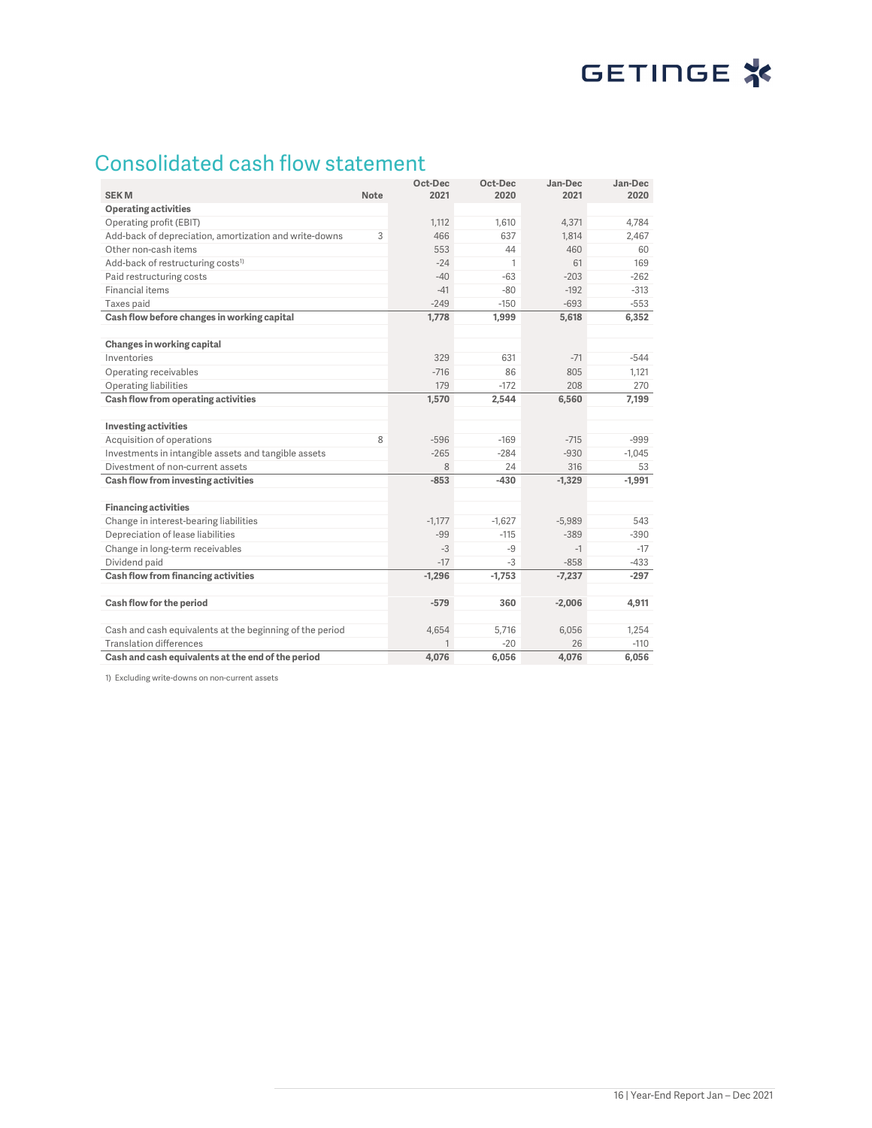# GETINGE<sup>\*</sup>

# Consolidated cash flow statement

| <b>SEKM</b>                                              | <b>Note</b> | Oct-Dec<br>2021 | Oct-Dec<br>2020 | Jan-Dec<br>2021 | Jan-Dec<br>2020 |
|----------------------------------------------------------|-------------|-----------------|-----------------|-----------------|-----------------|
| <b>Operating activities</b>                              |             |                 |                 |                 |                 |
| Operating profit (EBIT)                                  |             | 1,112           | 1,610           | 4,371           | 4,784           |
| Add-back of depreciation, amortization and write-downs   | 3           | 466             | 637             | 1,814           | 2,467           |
| Other non-cash items                                     |             | 553             | 44              | 460             | 60              |
| Add-back of restructuring costs <sup>1)</sup>            |             | $-24$           | 1               | 61              | 169             |
| Paid restructuring costs                                 |             | $-40$           | $-63$           | $-203$          | $-262$          |
| Financial items                                          |             | $-41$           | $-80$           | $-192$          | $-313$          |
| Taxes paid                                               |             | $-249$          | $-150$          | $-693$          | $-553$          |
| Cash flow before changes in working capital              |             | 1,778           | 1,999           | 5,618           | 6,352           |
|                                                          |             |                 |                 |                 |                 |
| Changes in working capital                               |             |                 |                 |                 |                 |
| Inventories                                              |             | 329             | 631             | $-71$           | $-544$          |
| Operating receivables                                    |             | $-716$          | 86              | 805             | 1,121           |
| Operating liabilities                                    |             | 179             | $-172$          | 208             | 270             |
| Cash flow from operating activities                      |             | 1,570           | 2,544           | 6,560           | 7,199           |
|                                                          |             |                 |                 |                 |                 |
| <b>Investing activities</b>                              |             |                 |                 |                 |                 |
| Acquisition of operations                                | 8           | $-596$          | $-169$          | $-715$          | $-999$          |
| Investments in intangible assets and tangible assets     |             | $-265$          | $-284$          | $-930$          | $-1,045$        |
| Divestment of non-current assets                         |             | 8               | 24              | 316             | 53              |
| Cash flow from investing activities                      |             | $-853$          | $-430$          | $-1,329$        | $-1,991$        |
|                                                          |             |                 |                 |                 |                 |
| <b>Financing activities</b>                              |             |                 |                 |                 |                 |
| Change in interest-bearing liabilities                   |             | $-1,177$        | $-1,627$        | $-5,989$        | 543             |
| Depreciation of lease liabilities                        |             | $-99$           | $-115$          | $-389$          | $-390$          |
| Change in long-term receivables                          |             | $-3$            | $-9$            | $-1$            | $-17$           |
| Dividend paid                                            |             | $-17$           | -3              | $-858$          | $-433$          |
| Cash flow from financing activities                      |             | $-1,296$        | $-1,753$        | $-7,237$        | $-297$          |
|                                                          |             | $-579$          | 360             |                 |                 |
| Cash flow for the period                                 |             |                 |                 | $-2,006$        | 4,911           |
| Cash and cash equivalents at the beginning of the period |             | 4,654           | 5,716           | 6,056           | 1,254           |
| <b>Translation differences</b>                           |             |                 | $-20$           | 26              | $-110$          |
| Cash and cash equivalents at the end of the period       |             | 4,076           | 6,056           | 4,076           | 6,056           |

1) Excluding write-downs on non-current assets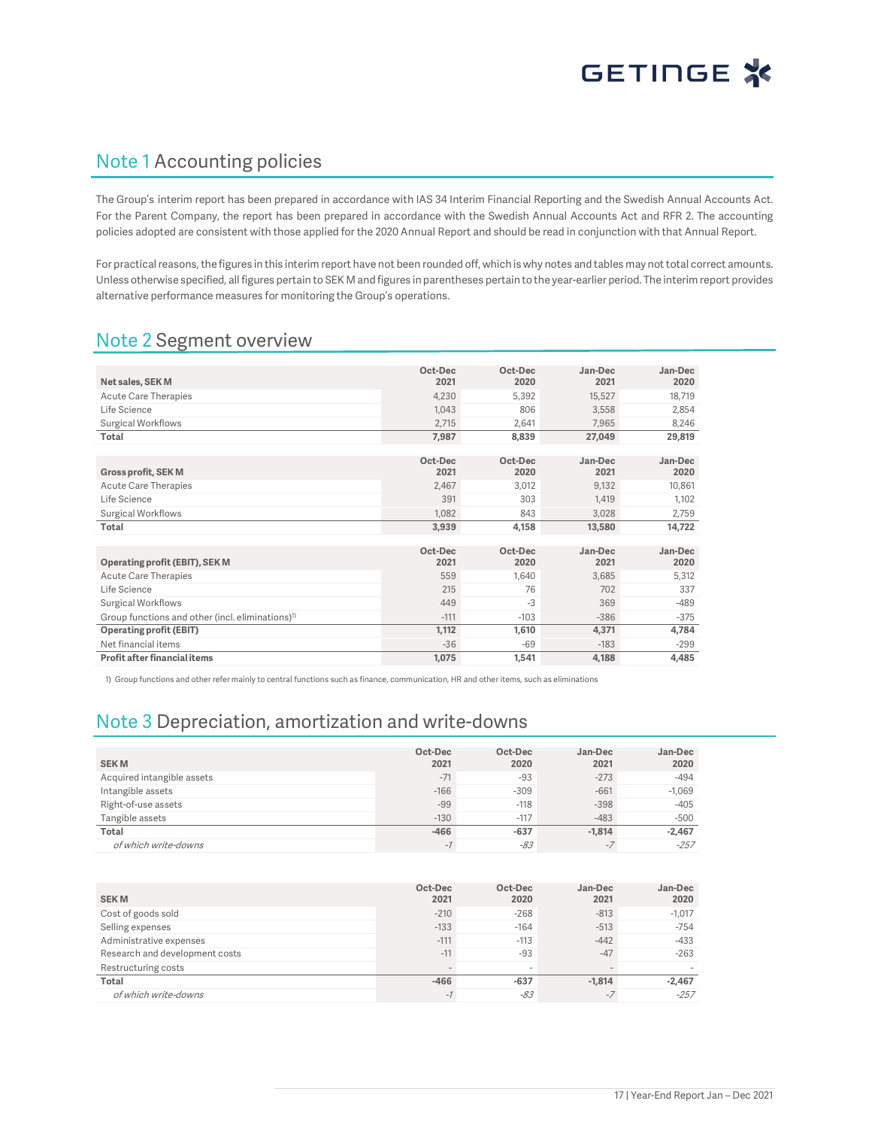## Note 1 Accounting policies

The Group's interim report has been prepared in accordance with IAS 34 Interim Financial Reporting and the Swedish Annual Accounts Act. For the Parent Company, the report has been prepared in accordance with the Swedish Annual Accounts Act and RFR 2. The accounting policies adopted are consistent with those applied for the 2020 Annual Report and should be read in conjunction with that Annual Report.

For practical reasons, the figures in this interim report have not been rounded off, which is why notes and tables may not total correct amounts. Unless otherwise specified, all figures pertain to SEK M and figures in parentheses pertain to the year-earlier period. The interim report provides alternative performance measures for monitoring the Group's operations.

## Note 2 Segment overview

|                                                              | Oct-Dec | Oct-Dec | Jan-Dec | Jan-Dec |
|--------------------------------------------------------------|---------|---------|---------|---------|
| Net sales, SEK M                                             | 2021    | 2020    | 2021    | 2020    |
| <b>Acute Care Therapies</b>                                  | 4,230   | 5,392   | 15,527  | 18,719  |
| Life Science                                                 | 1.043   | 806     | 3,558   | 2,854   |
| <b>Surgical Workflows</b>                                    | 2,715   | 2,641   | 7.965   | 8,246   |
| Total                                                        | 7,987   | 8,839   | 27,049  | 29,819  |
|                                                              |         |         |         |         |
|                                                              | Oct-Dec | Oct-Dec | Jan-Dec | Jan-Dec |
| <b>Gross profit, SEK M</b>                                   | 2021    | 2020    | 2021    | 2020    |
| <b>Acute Care Therapies</b>                                  | 2,467   | 3,012   | 9,132   | 10,861  |
| Life Science                                                 | 391     | 303     | 1,419   | 1,102   |
| <b>Surgical Workflows</b>                                    | 1,082   | 843     | 3,028   | 2,759   |
| Total                                                        | 3,939   | 4,158   | 13,580  | 14,722  |
|                                                              |         |         |         |         |
|                                                              | Oct-Dec | Oct-Dec | Jan-Dec | Jan-Dec |
| Operating profit (EBIT), SEK M                               | 2021    | 2020    | 2021    | 2020    |
| <b>Acute Care Therapies</b>                                  | 559     | 1,640   | 3,685   | 5,312   |
| Life Science                                                 | 215     | 76      | 702     | 337     |
| <b>Surgical Workflows</b>                                    | 449     | $-3$    | 369     | $-489$  |
| Group functions and other (incl. eliminations) <sup>1)</sup> | $-111$  | $-103$  | $-386$  | $-375$  |
| <b>Operating profit (EBIT)</b>                               | 1,112   | 1,610   | 4,371   | 4,784   |
| Net financial items                                          | $-36$   | $-69$   | $-183$  | $-299$  |
| Profit after financial items                                 | 1,075   | 1,541   | 4,188   | 4,485   |

1) Group functions and other refer mainly to central functions such as finance, communication, HR and other items, such as eliminations

## Note 3 Depreciation, amortization and write-downs

| <b>SEKM</b>                | Oct-Dec<br>2021 | Oct-Dec<br>2020 | Jan-Dec<br>2021 | Jan-Dec<br>2020 |
|----------------------------|-----------------|-----------------|-----------------|-----------------|
| Acquired intangible assets | $-71$           | $-93$           | $-273$          | $-494$          |
| Intangible assets          | $-166$          | $-309$          | $-661$          | $-1,069$        |
| Right-of-use assets        | $-99$           | $-118$          | $-398$          | $-405$          |
| Tangible assets            | $-130$          | $-117$          | $-483$          | $-500$          |
| Total                      | $-466$          | $-637$          | $-1.814$        | $-2,467$        |
| of which write-downs       | $\sim$ 1        | -83             | -7              | $-257$          |

| <b>SEKM</b>                    | Oct-Dec<br>2021 | Oct-Dec<br>2020          | Jan-Dec<br>2021 | Jan-Dec<br>2020 |
|--------------------------------|-----------------|--------------------------|-----------------|-----------------|
| Cost of goods sold             | $-210$          | $-268$                   | $-813$          | $-1.017$        |
| Selling expenses               | $-133$          | $-164$                   | $-513$          | $-754$          |
| Administrative expenses        | $-111$          | $-113$                   | $-442$          | $-433$          |
| Research and development costs | $-11$           | $-93$                    | $-47$           | $-263$          |
| Restructuring costs            |                 | $\overline{\phantom{a}}$ | $\sim$          |                 |
| Total                          | $-466$          | $-637$                   | $-1.814$        | $-2.467$        |
| of which write-downs           | $-1$            | -83                      | $-7$            | $-257$          |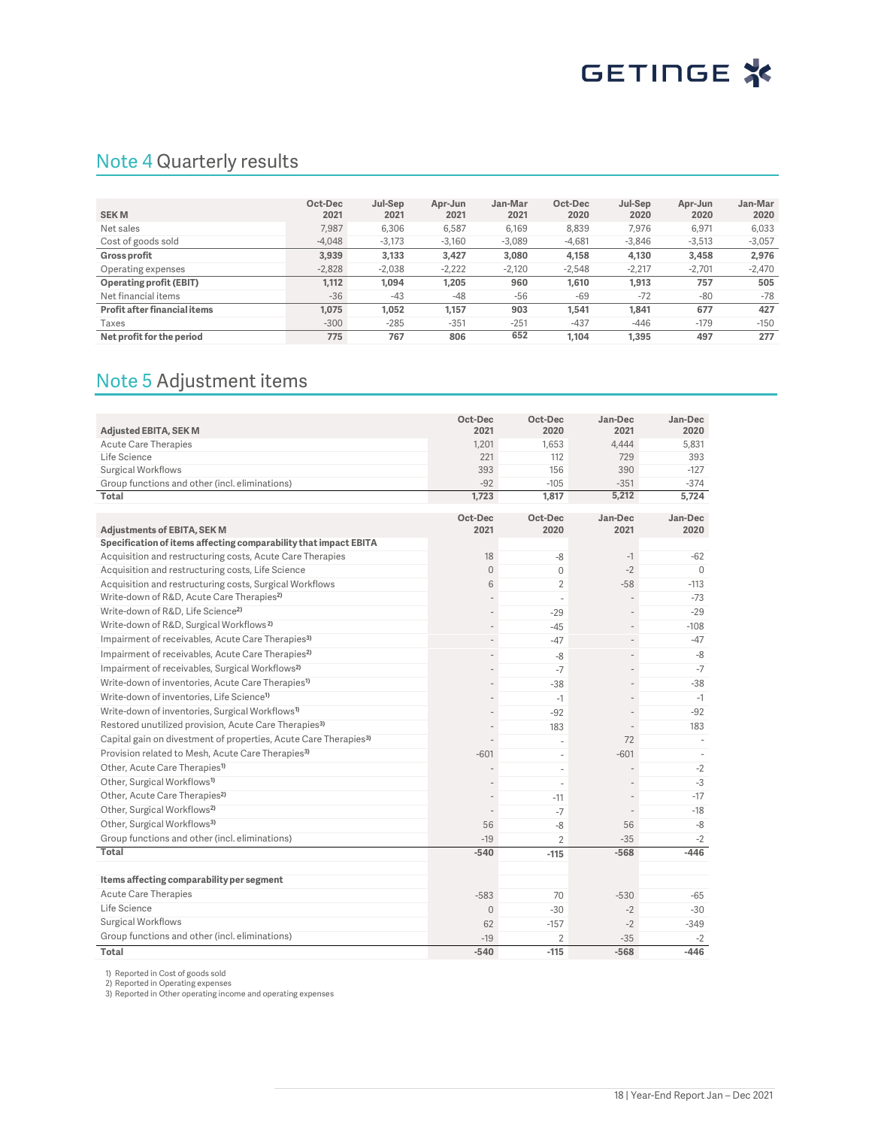## Note 4 Quarterly results

| <b>SEKM</b>                  | Oct-Dec<br>2021 | Jul-Sep<br>2021 | Apr-Jun<br>2021 | Jan-Mar<br>2021 | Oct-Dec<br>2020 | Jul-Sep<br>2020 | Apr-Jun<br>2020 | Jan-Mar<br>2020 |
|------------------------------|-----------------|-----------------|-----------------|-----------------|-----------------|-----------------|-----------------|-----------------|
| Net sales                    | 7.987           | 6,306           | 6.587           | 6.169           | 8.839           | 7.976           | 6.971           | 6,033           |
| Cost of goods sold           | $-4.048$        | $-3,173$        | $-3,160$        | $-3.089$        | $-4,681$        | $-3.846$        | $-3,513$        | $-3,057$        |
| <b>Gross profit</b>          | 3.939           | 3,133           | 3,427           | 3.080           | 4,158           | 4,130           | 3,458           | 2,976           |
| Operating expenses           | $-2,828$        | $-2.038$        | $-2,222$        | $-2.120$        | $-2.548$        | $-2.217$        | $-2.701$        | $-2,470$        |
| Operating profit (EBIT)      | 1,112           | 1,094           | 1,205           | 960             | 1.610           | 1,913           | 757             | 505             |
| Net financial items          | $-36$           | $-43$           | $-48$           | $-56$           | $-69$           | $-72$           | $-80$           | $-78$           |
| Profit after financial items | 1.075           | 1.052           | 1,157           | 903             | 1.541           | 1.841           | 677             | 427             |
| Taxes                        | $-300$          | $-285$          | $-351$          | $-251$          | $-437$          | $-446$          | $-179$          | $-150$          |
| Net profit for the period    | 775             | 767             | 806             | 652             | 1.104           | 1.395           | 497             | 277             |

## Note 5 Adjustment items

| Adjusted EBITA, SEK M                                                        | Oct-Dec<br>2021              | Oct-Dec<br>2020 | Jan-Dec<br>2021 | Jan-Dec<br>2020 |
|------------------------------------------------------------------------------|------------------------------|-----------------|-----------------|-----------------|
| <b>Acute Care Therapies</b>                                                  | 1.201                        | 1.653           | 4,444           | 5.831           |
| Life Science                                                                 | 221                          | 112             | 729             | 393             |
| <b>Surgical Workflows</b>                                                    | 393                          | 156             | 390             | $-127$          |
| Group functions and other (incl. eliminations)                               | $-92$                        | $-105$          | $-351$          | $-374$          |
| Total                                                                        | 1,723                        | 1,817           | 5,212           | 5,724           |
|                                                                              |                              |                 |                 |                 |
| Adjustments of EBITA, SEK M                                                  | Oct-Dec<br>2021              | Oct-Dec<br>2020 | Jan-Dec<br>2021 | Jan-Dec<br>2020 |
| Specification of items affecting comparability that impact EBITA             |                              |                 |                 |                 |
| Acquisition and restructuring costs, Acute Care Therapies                    | 18                           | -8              | $-1$            | $-62$           |
| Acquisition and restructuring costs, Life Science                            | $\overline{0}$               | $\mathbf{0}$    | $-2$            | $\Omega$        |
| Acquisition and restructuring costs, Surgical Workflows                      | 6                            | $\overline{2}$  | $-58$           | $-113$          |
| Write-down of R&D, Acute Care Therapies <sup>2)</sup>                        |                              | $\sim$          |                 | $-73$           |
| Write-down of R&D, Life Science <sup>2)</sup>                                |                              | $-29$           |                 | $-29$           |
| Write-down of R&D, Surgical Workflows <sup>2)</sup>                          | $\overline{a}$               | $-45$           |                 | $-108$          |
| Impairment of receivables, Acute Care Therapies <sup>3)</sup>                | $\overline{a}$               | $-47$           |                 | $-47$           |
| Impairment of receivables, Acute Care Therapies <sup>2)</sup>                | $\qquad \qquad \blacksquare$ | -8              |                 | $-8$            |
| Impairment of receivables, Surgical Workflows <sup>2)</sup>                  | $\overline{a}$               | $-7$            |                 | $-7$            |
| Write-down of inventories, Acute Care Therapies <sup>1)</sup>                | $\overline{\phantom{a}}$     | $-38$           |                 | $-38$           |
| Write-down of inventories, Life Science <sup>1)</sup>                        |                              | $-1$            |                 | $-1$            |
| Write-down of inventories, Surgical Workflows <sup>1)</sup>                  | $\overline{a}$               | $-92$           |                 | $-92$           |
| Restored unutilized provision, Acute Care Therapies <sup>3)</sup>            | $\overline{a}$               | 183             |                 | 183             |
| Capital gain on divestment of properties, Acute Care Therapies <sup>3)</sup> |                              | $\sim$          | 72              | ÷.              |
| Provision related to Mesh, Acute Care Therapies <sup>3)</sup>                | $-601$                       | ä,              | $-601$          |                 |
| Other, Acute Care Therapies <sup>1)</sup>                                    |                              | ä,              |                 | $-2$            |
| Other, Surgical Workflows <sup>1)</sup>                                      | $\overline{a}$               | ÷.              |                 | $-3$            |
| Other, Acute Care Therapies <sup>2)</sup>                                    | $\overline{a}$               | $-11$           |                 | $-17$           |
| Other, Surgical Workflows <sup>2)</sup>                                      | L,                           | $-7$            |                 | $-18$           |
| Other, Surgical Workflows <sup>3)</sup>                                      | 56                           | $-8$            | 56              | $-8$            |
| Group functions and other (incl. eliminations)                               | $-19$                        | $\overline{2}$  | $-35$           | $-2$            |
| Total                                                                        | $-540$                       | $-115$          | $-568$          | $-446$          |
|                                                                              |                              |                 |                 |                 |
| Items affecting comparability per segment                                    |                              |                 |                 |                 |
| <b>Acute Care Therapies</b>                                                  | $-583$                       | 70              | $-530$          | $-65$           |
| Life Science                                                                 | $\overline{0}$               | $-30$           | $-2$            | $-30$           |
| <b>Surgical Workflows</b>                                                    | 62                           | $-157$          | $-2$            | $-349$          |
| Group functions and other (incl. eliminations)                               | $-19$                        | 2               | $-35$           | $-2$            |
| Total                                                                        | $-540$                       | $-115$          | $-568$          | $-446$          |

1) Reported in Cost of goods sold 2) Reported in Operating expenses 3) Reported in Other operating income and operating expenses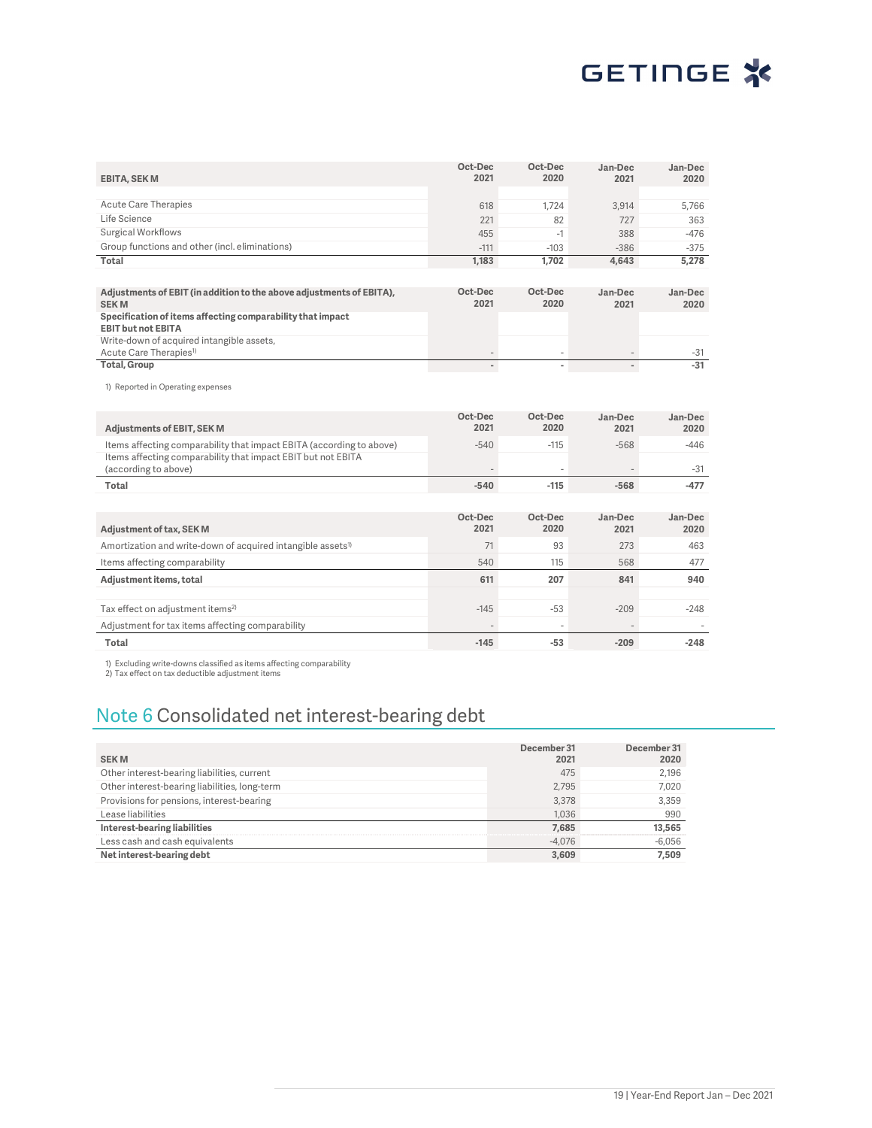| <b>EBITA, SEK M</b>                                                                     | Oct-Dec<br>2021          | Oct-Dec<br>2020          | Jan-Dec<br>2021          | Jan-Dec<br>2020 |
|-----------------------------------------------------------------------------------------|--------------------------|--------------------------|--------------------------|-----------------|
|                                                                                         |                          |                          |                          |                 |
| <b>Acute Care Therapies</b>                                                             | 618                      | 1.724                    | 3,914                    | 5,766           |
| Life Science                                                                            | 221                      | 82                       | 727                      | 363             |
| <b>Surgical Workflows</b>                                                               | 455                      | $-1$                     | 388                      | $-476$          |
| Group functions and other (incl. eliminations)                                          | $-111$                   | $-103$                   | $-386$                   | $-375$          |
| Total                                                                                   | 1,183                    | 1,702                    | 4,643                    | 5,278           |
|                                                                                         |                          |                          |                          |                 |
| Adjustments of EBIT (in addition to the above adjustments of EBITA),<br><b>SEKM</b>     | Oct-Dec<br>2021          | Oct-Dec<br>2020          | Jan-Dec<br>2021          | Jan-Dec<br>2020 |
| Specification of items affecting comparability that impact<br><b>EBIT but not EBITA</b> |                          |                          |                          |                 |
| Write-down of acquired intangible assets,<br>Acute Care Therapies <sup>1)</sup>         |                          |                          |                          | $-31$           |
| <b>Total, Group</b>                                                                     | $\blacksquare$           |                          | $\overline{a}$           | $-31$           |
| 1) Reported in Operating expenses                                                       |                          |                          |                          |                 |
| <b>Adjustments of EBIT, SEK M</b>                                                       | Oct-Dec<br>2021          | Oct-Dec<br>2020          | Jan-Dec<br>2021          | Jan-Dec<br>2020 |
| Items affecting comparability that impact EBITA (according to above)                    | $-540$                   | $-115$                   | $-568$                   | $-446$          |
| Items affecting comparability that impact EBIT but not EBITA<br>(according to above)    |                          |                          |                          | $-31$           |
| Total                                                                                   | $-540$                   | $-115$                   | $-568$                   | $-477$          |
|                                                                                         |                          |                          |                          |                 |
| <b>Adjustment of tax, SEK M</b>                                                         | Oct-Dec<br>2021          | Oct-Dec<br>2020          | Jan-Dec<br>2021          | Jan-Dec<br>2020 |
| Amortization and write-down of acquired intangible assets <sup>1)</sup>                 | 71                       | 93                       | 273                      | 463             |
| Items affecting comparability                                                           | 540                      | 115                      | 568                      | 477             |
| Adjustment items, total                                                                 | 611                      | 207                      | 841                      | 940             |
|                                                                                         |                          |                          |                          |                 |
| Tax effect on adjustment items <sup>2)</sup>                                            | $-145$                   | $-53$                    | $-209$                   | $-248$          |
| Adjustment for tax items affecting comparability                                        |                          | $\overline{\phantom{a}}$ | $\overline{\phantom{a}}$ |                 |
|                                                                                         | $\overline{\phantom{m}}$ |                          |                          | $\sim$          |

1) Excluding write-downs classified as items affecting comparability 2) Tax effect on tax deductible adjustment items

## Note 6 Consolidated net interest-bearing debt

| <b>SEKM</b>                                   | December 31<br>2021 | December 31<br>2020 |
|-----------------------------------------------|---------------------|---------------------|
| Other interest-bearing liabilities, current   | 475                 | 2.196               |
| Other interest-bearing liabilities, long-term | 2.795               | 7.020               |
| Provisions for pensions, interest-bearing     | 3.378               | 3.359               |
| Lease liabilities                             | 1.036               | 990                 |
| Interest-bearing liabilities                  | 7.685               | 13,565              |
| Less cash and cash equivalents                | $-4.076$            | $-6,056$            |
| Net interest-bearing debt                     | 3.609               | 7.509               |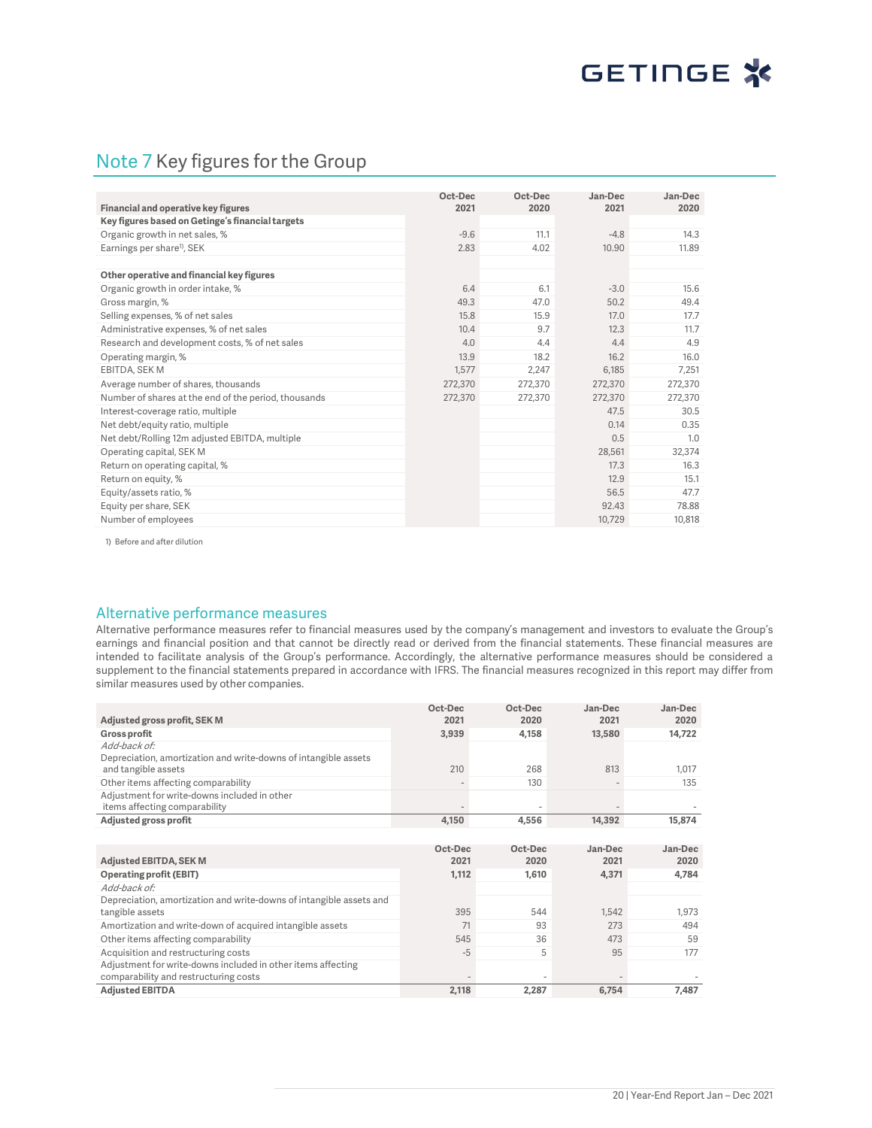## Note 7 Key figures for the Group

|                                                      | Oct-Dec<br>2021 | Oct-Dec<br>2020 | Jan-Dec<br>2021 | Jan-Dec<br>2020 |
|------------------------------------------------------|-----------------|-----------------|-----------------|-----------------|
| Financial and operative key figures                  |                 |                 |                 |                 |
| Key figures based on Getinge's financial targets     |                 |                 |                 |                 |
| Organic growth in net sales, %                       | $-9.6$          | 11.1            | $-4.8$          | 14.3            |
| Earnings per share <sup>1)</sup> , SEK               | 2.83            | 4.02            | 10.90           | 11.89           |
|                                                      |                 |                 |                 |                 |
| Other operative and financial key figures            |                 |                 |                 |                 |
| Organic growth in order intake, %                    | 6.4             | 6.1             | $-3.0$          | 15.6            |
| Gross margin, %                                      | 49.3            | 47.0            | 50.2            | 49.4            |
| Selling expenses, % of net sales                     | 15.8            | 15.9            | 17.0            | 17.7            |
| Administrative expenses, % of net sales              | 10.4            | 9.7             | 12.3            | 11.7            |
| Research and development costs, % of net sales       | 4.0             | 4.4             | 4.4             | 4.9             |
| Operating margin, %                                  | 13.9            | 18.2            | 16.2            | 16.0            |
| <b>EBITDA, SEK M</b>                                 | 1.577           | 2.247           | 6.185           | 7.251           |
| Average number of shares, thousands                  | 272,370         | 272,370         | 272,370         | 272,370         |
| Number of shares at the end of the period, thousands | 272,370         | 272,370         | 272,370         | 272,370         |
| Interest-coverage ratio, multiple                    |                 |                 | 47.5            | 30.5            |
| Net debt/equity ratio, multiple                      |                 |                 | 0.14            | 0.35            |
| Net debt/Rolling 12m adjusted EBITDA, multiple       |                 |                 | 0.5             | 1.0             |
| Operating capital, SEK M                             |                 |                 | 28,561          | 32,374          |
| Return on operating capital, %                       |                 |                 | 17.3            | 16.3            |
| Return on equity, %                                  |                 |                 | 12.9            | 15.1            |
| Equity/assets ratio, %                               |                 |                 | 56.5            | 47.7            |
| Equity per share, SEK                                |                 |                 | 92.43           | 78.88           |
| Number of employees                                  |                 |                 | 10,729          | 10,818          |

1) Before and after dilution

#### Alternative performance measures

Alternative performance measures refer to financial measures used by the company's management and investors to evaluate the Group's earnings and financial position and that cannot be directly read or derived from the financial statements. These financial measures are intended to facilitate analysis of the Group's performance. Accordingly, the alternative performance measures should be considered a supplement to the financial statements prepared in accordance with IFRS. The financial measures recognized in this report may differ from similar measures used by other companies.

|                                                                               | Oct-Dec | Oct-Dec | Jan-Dec | Jan-Dec |
|-------------------------------------------------------------------------------|---------|---------|---------|---------|
| Adjusted gross profit, SEK M                                                  | 2021    | 2020    | 2021    | 2020    |
| <b>Gross profit</b>                                                           | 3,939   | 4,158   | 13,580  | 14,722  |
| Add-back of:                                                                  |         |         |         |         |
| Depreciation, amortization and write-downs of intangible assets               |         |         |         |         |
| and tangible assets                                                           | 210     | 268     | 813     | 1,017   |
| Other items affecting comparability                                           |         | 130     |         | 135     |
| Adjustment for write-downs included in other<br>items affecting comparability |         |         |         |         |
| Adjusted gross profit                                                         | 4,150   | 4,556   | 14,392  | 15,874  |
|                                                                               |         |         |         |         |
|                                                                               | Oct-Dec | Oct-Dec | Jan-Dec | Jan-Dec |
| <b>Adjusted EBITDA, SEK M</b>                                                 | 2021    | 2020    | 2021    | 2020    |
| <b>Operating profit (EBIT)</b>                                                | 1,112   | 1,610   | 4,371   | 4,784   |
| Add-back of:                                                                  |         |         |         |         |
| Depreciation, amortization and write-downs of intangible assets and           |         |         |         |         |
| tangible assets                                                               | 395     | 544     | 1.542   | 1,973   |
| Amortization and write-down of acquired intangible assets                     | 71      | 93      | 273     | 494     |
| Other items affecting comparability                                           | 545     | 36      | 473     | 59      |
| Acquisition and restructuring costs                                           | $-5$    | 5       | 95      | 177     |
| Adjustment for write-downs included in other items affecting                  |         |         |         |         |
| comparability and restructuring costs                                         |         |         |         |         |
| <b>Adjusted EBITDA</b>                                                        | 2,118   | 2,287   | 6,754   | 7.487   |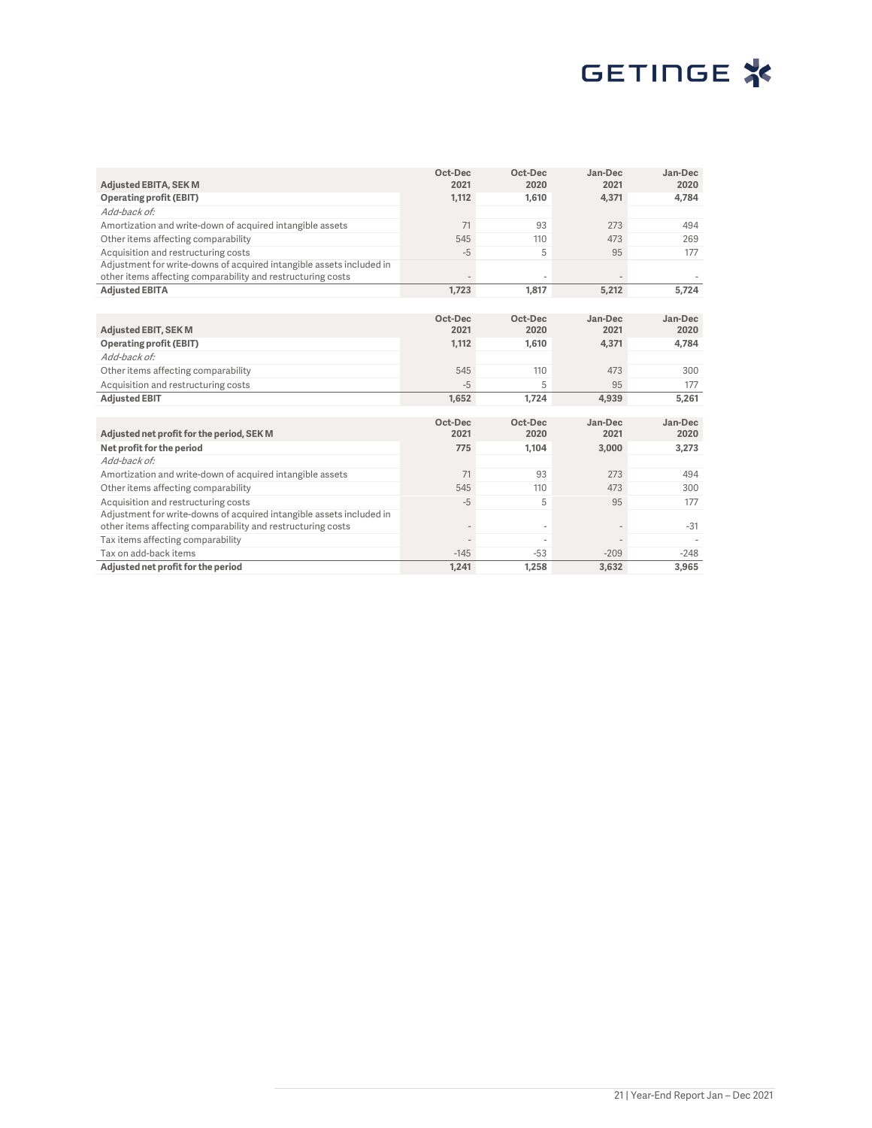# GETINGE<sup>\*</sup>

|                                                                                                                                     | Oct-Dec         | Oct-Dec | Jan-Dec                  | Jan-Dec |
|-------------------------------------------------------------------------------------------------------------------------------------|-----------------|---------|--------------------------|---------|
| <b>Adjusted EBITA, SEK M</b>                                                                                                        | 2021            | 2020    | 2021                     | 2020    |
| <b>Operating profit (EBIT)</b>                                                                                                      | 1,112           | 1.610   | 4.371                    | 4,784   |
| Add-back of:                                                                                                                        |                 |         |                          |         |
| Amortization and write-down of acquired intangible assets                                                                           | 71              | 93      | 273                      | 494     |
| Other items affecting comparability                                                                                                 | 545             | 110     | 473                      | 269     |
| Acquisition and restructuring costs                                                                                                 | $-5$            | 5       | 95                       | 177     |
| Adjustment for write-downs of acquired intangible assets included in<br>other items affecting comparability and restructuring costs |                 |         |                          |         |
| <b>Adjusted EBITA</b>                                                                                                               | 1,723           | 1.817   | 5,212                    | 5,724   |
|                                                                                                                                     |                 |         |                          |         |
|                                                                                                                                     |                 |         |                          |         |
|                                                                                                                                     | Oct-Dec<br>2021 | Oct-Dec | Jan-Dec                  | Jan-Dec |
| <b>Adjusted EBIT, SEK M</b>                                                                                                         |                 | 2020    | 2021                     | 2020    |
| <b>Operating profit (EBIT)</b>                                                                                                      | 1,112           | 1.610   | 4,371                    | 4,784   |
| Add-back of:                                                                                                                        |                 |         |                          |         |
| Other items affecting comparability                                                                                                 | 545             | 110     | 473                      | 300     |
| Acquisition and restructuring costs                                                                                                 | $-5$            | 5       | 95                       | 177     |
| <b>Adjusted EBIT</b>                                                                                                                | 1,652           | 1,724   | 4,939                    | 5,261   |
|                                                                                                                                     |                 |         |                          |         |
|                                                                                                                                     | Oct-Dec         | Oct-Dec | Jan-Dec                  | Jan-Dec |
| Adjusted net profit for the period, SEK M                                                                                           | 2021            | 2020    | 2021                     | 2020    |
| Net profit for the period                                                                                                           | 775             | 1,104   | 3,000                    | 3,273   |
| Add-back of:                                                                                                                        |                 |         |                          |         |
| Amortization and write-down of acquired intangible assets                                                                           | 71              | 93      | 273                      | 494     |
| Other items affecting comparability                                                                                                 | 545             | 110     | 473                      | 300     |
| Acquisition and restructuring costs                                                                                                 | $-5$            | 5       | 95                       | 177     |
| Adjustment for write-downs of acquired intangible assets included in                                                                |                 |         |                          |         |
| other items affecting comparability and restructuring costs                                                                         |                 | $\sim$  | $\overline{\phantom{a}}$ | $-31$   |
| Tax items affecting comparability                                                                                                   |                 |         |                          |         |
| Tax on add-back items                                                                                                               | $-145$          | $-53$   | $-209$                   | $-248$  |
| Adjusted net profit for the period                                                                                                  | 1.241           | 1.258   | 3.632                    | 3.965   |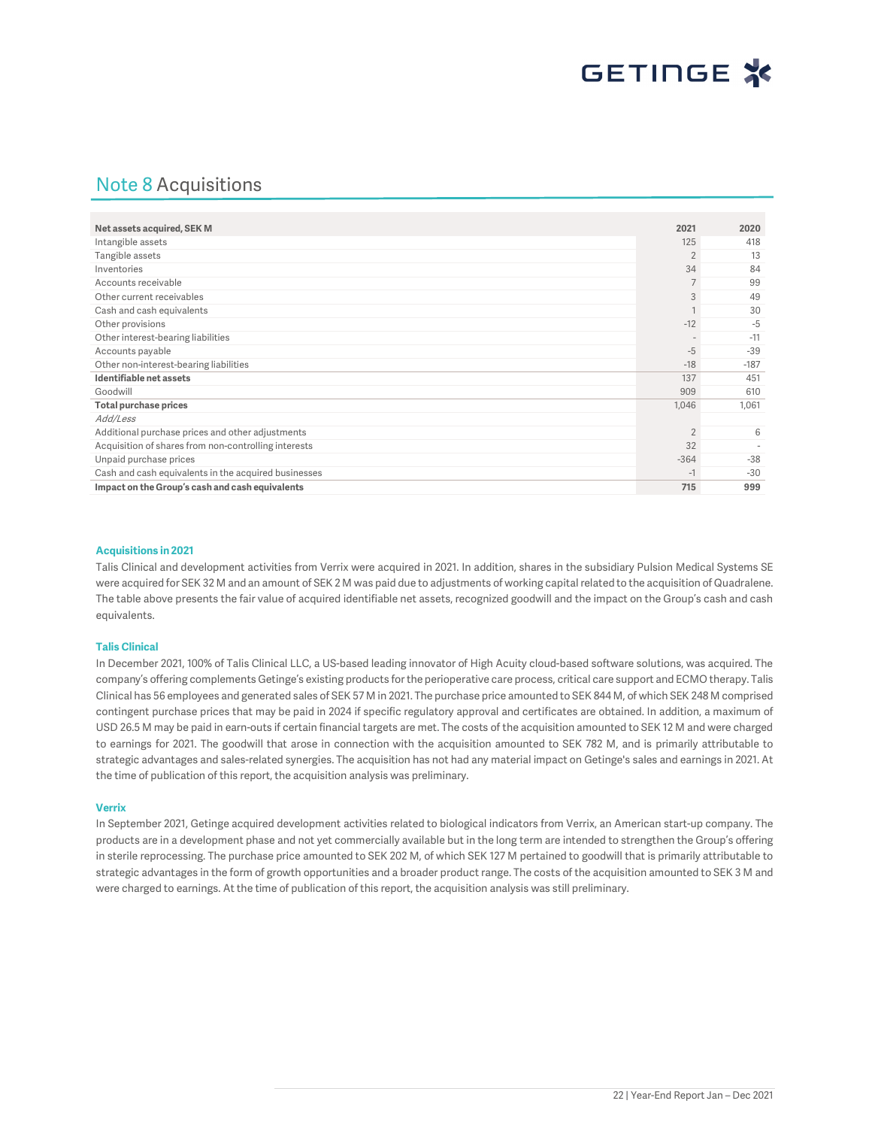## Note 8 Acquisitions

| Net assets acquired, SEK M                           | 2021                     | 2020   |
|------------------------------------------------------|--------------------------|--------|
| Intangible assets                                    | 125                      | 418    |
| Tangible assets                                      | 2                        | 13     |
| Inventories                                          | 34                       | 84     |
| Accounts receivable                                  | $\overline{7}$           | 99     |
| Other current receivables                            | 3                        | 49     |
| Cash and cash equivalents                            |                          | 30     |
| Other provisions                                     | $-12$                    | $-5$   |
| Other interest-bearing liabilities                   | $\overline{\phantom{a}}$ | $-11$  |
| Accounts payable                                     | $-5$                     | $-39$  |
| Other non-interest-bearing liabilities               | $-18$                    | $-187$ |
| Identifiable net assets                              | 137                      | 451    |
| Goodwill                                             | 909                      | 610    |
| <b>Total purchase prices</b>                         | 1,046                    | 1,061  |
| Add/Less                                             |                          |        |
| Additional purchase prices and other adjustments     | $\overline{2}$           | 6      |
| Acquisition of shares from non-controlling interests | 32                       |        |
| Unpaid purchase prices                               | $-364$                   | $-38$  |
| Cash and cash equivalents in the acquired businesses | $-1$                     | $-30$  |
| Impact on the Group's cash and cash equivalents      | 715                      | 999    |

#### **Acquisitions in 2021**

Talis Clinical and development activities from Verrix were acquired in 2021. In addition, shares in the subsidiary Pulsion Medical Systems SE were acquired for SEK 32 M and an amount of SEK 2 M was paid due to adjustments of working capital related to the acquisition of Quadralene. The table above presents the fair value of acquired identifiable net assets, recognized goodwill and the impact on the Group's cash and cash equivalents.

#### **Talis Clinical**

In December 2021, 100% of Talis Clinical LLC, a US-based leading innovator of High Acuity cloud-based software solutions, was acquired. The company's offering complements Getinge's existing products for the perioperative care process, critical care support and ECMO therapy. Talis Clinical has 56 employees and generated sales of SEK 57 M in 2021. The purchase price amounted to SEK 844 M, of which SEK 248 M comprised contingent purchase prices that may be paid in 2024 if specific regulatory approval and certificates are obtained. In addition, a maximum of USD 26.5 M may be paid in earn-outs if certain financial targets are met. The costs of the acquisition amounted to SEK 12 M and were charged to earnings for 2021. The goodwill that arose in connection with the acquisition amounted to SEK 782 M, and is primarily attributable to strategic advantages and sales-related synergies. The acquisition has not had any material impact on Getinge's sales and earnings in 2021. At the time of publication of this report, the acquisition analysis was preliminary.

#### **Verrix**

In September 2021, Getinge acquired development activities related to biological indicators from Verrix, an American start-up company. The products are in a development phase and not yet commercially available but in the long term are intended to strengthen the Group's offering in sterile reprocessing. The purchase price amounted to SEK 202 M, of which SEK 127 M pertained to goodwill that is primarily attributable to strategic advantages in the form of growth opportunities and a broader product range. The costs of the acquisition amounted to SEK 3 M and were charged to earnings. At the time of publication of this report, the acquisition analysis was still preliminary.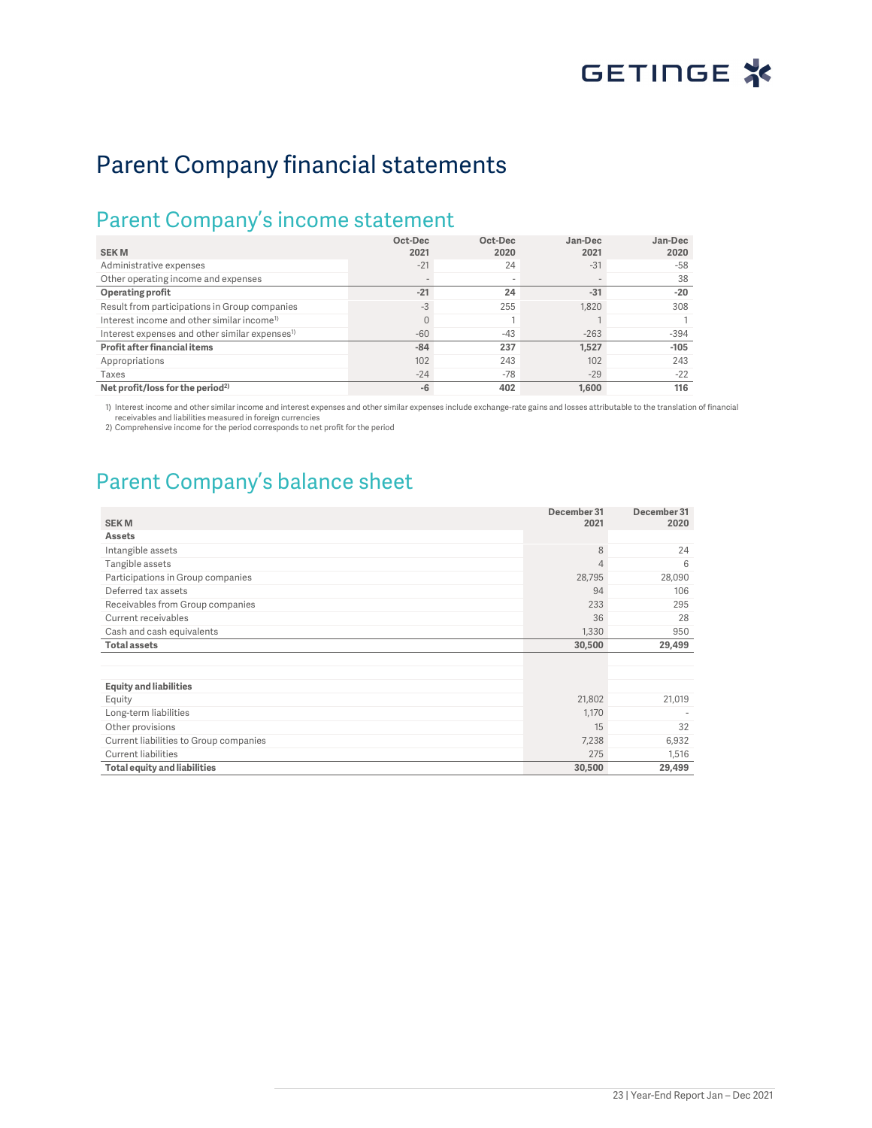# Parent Company financial statements

## Parent Company's income statement

| <b>SEKM</b>                                                | Oct-Dec<br>2021 | Oct-Dec<br>2020          | Jan-Dec<br>2021 | Jan-Dec<br>2020 |
|------------------------------------------------------------|-----------------|--------------------------|-----------------|-----------------|
| Administrative expenses                                    | $-21$           | 24                       | $-31$           | $-58$           |
| Other operating income and expenses                        |                 | $\overline{\phantom{a}}$ |                 | 38              |
| Operating profit                                           | $-21$           | 24                       | $-31$           | $-20$           |
| Result from participations in Group companies              | $-3$            | 255                      | 1.820           | 308             |
| Interest income and other similar income <sup>1)</sup>     |                 |                          |                 |                 |
| Interest expenses and other similar expenses <sup>1)</sup> | $-60$           | $-43$                    | $-263$          | $-394$          |
| Profit after financial items                               | $-84$           | 237                      | 1.527           | $-105$          |
| Appropriations                                             | 102             | 243                      | 102             | 243             |
| Taxes                                                      | $-24$           | $-78$                    | $-29$           | $-22$           |
| Net profit/loss for the period <sup>2)</sup>               | $-6$            | 402                      | 1.600           | 116             |

1) Interest income and other similar income and interest expenses and other similar expenses include exchange-rate gains and losses attributable to the translation of financial receivables and liabilities measured in foreign currencies

2) Comprehensive income for the period corresponds to net profit for the period

# Parent Company's balance sheet

| <b>SEKM</b>                            | December 31<br>2021 | December 31<br>2020 |
|----------------------------------------|---------------------|---------------------|
| <b>Assets</b>                          |                     |                     |
| Intangible assets                      | 8                   | 24                  |
| Tangible assets                        | $\overline{4}$      | 6                   |
| Participations in Group companies      | 28,795              | 28,090              |
| Deferred tax assets                    | 94                  | 106                 |
| Receivables from Group companies       | 233                 | 295                 |
| Current receivables                    | 36                  | 28                  |
| Cash and cash equivalents              | 1,330               | 950                 |
| <b>Total assets</b>                    | 30,500              | 29,499              |
|                                        |                     |                     |
|                                        |                     |                     |
| <b>Equity and liabilities</b>          |                     |                     |
| Equity                                 | 21,802              | 21,019              |
| Long-term liabilities                  | 1,170               |                     |
| Other provisions                       | 15                  | 32                  |
| Current liabilities to Group companies | 7,238               | 6,932               |
| <b>Current liabilities</b>             | 275                 | 1,516               |
| <b>Total equity and liabilities</b>    | 30,500              | 29,499              |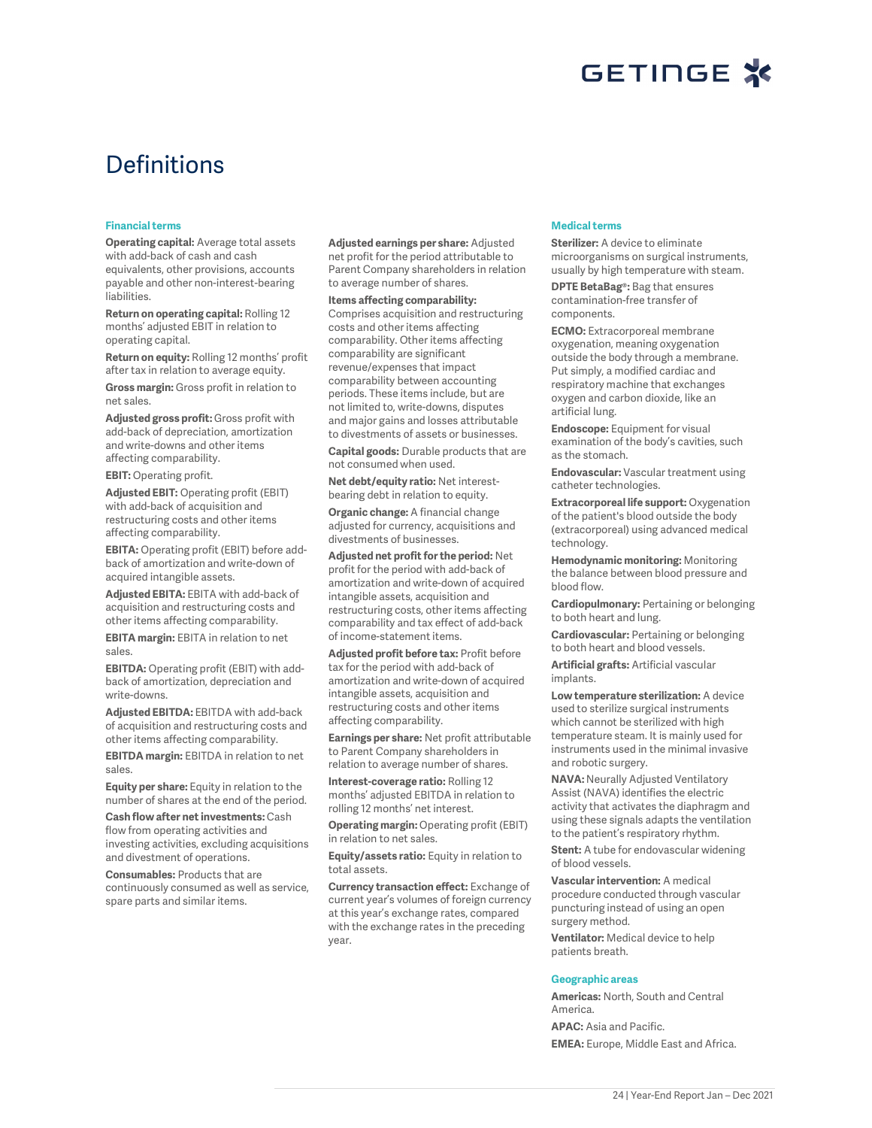

# **Definitions**

#### **Financial terms**

**Operating capital:** Average total assets with add-back of cash and cash equivalents, other provisions, accounts payable and other non-interest-bearing liabilities.

**Return on operating capital:** Rolling 12 months' adjusted EBIT in relation to operating capital.

**Return on equity:** Rolling 12 months' profit after tax in relation to average equity.

**Gross margin:** Gross profit in relation to net sales.

**Adjusted gross profit:** Gross profit with add-back of depreciation, amortization and write-downs and other items affecting comparability.

**EBIT:** Operating profit.

**Adjusted EBIT:** Operating profit (EBIT) with add-back of acquisition and restructuring costs and other items affecting comparability.

**EBITA:** Operating profit (EBIT) before addback of amortization and write-down of acquired intangible assets.

**Adjusted EBITA:** EBITA with add-back of acquisition and restructuring costs and other items affecting comparability.

**EBITA margin:** EBITA in relation to net sales.

**EBITDA:** Operating profit (EBIT) with addback of amortization, depreciation and write-downs.

**Adjusted EBITDA:** EBITDA with add-back of acquisition and restructuring costs and other items affecting comparability.

**EBITDA margin:** EBITDA in relation to net sales.

**Equity per share:** Equity in relation to the number of shares at the end of the period.

**Cash flow after net investments:** Cash flow from operating activities and investing activities, excluding acquisitions and divestment of operations.

**Consumables:** Products that are continuously consumed as well as service, spare parts and similar items.

**Adjusted earnings per share:** Adjusted net profit for the period attributable to Parent Company shareholders in relation to average number of shares.

**Items affecting comparability:**  Comprises acquisition and restructuring costs and other items affecting comparability. Other items affecting comparability are significant revenue/expenses that impact comparability between accounting periods. These items include, but are not limited to, write-downs, disputes and major gains and losses attributable to divestments of assets or businesses.

**Capital goods:** Durable products that are not consumed when used.

**Net debt/equity ratio:** Net interestbearing debt in relation to equity.

**Organic change:** A financial change adjusted for currency, acquisitions and divestments of businesses.

**Adjusted net profit for the period:** Net profit for the period with add-back of amortization and write-down of acquired intangible assets, acquisition and restructuring costs, other items affecting comparability and tax effect of add-back of income-statement items.

**Adjusted profit before tax:** Profit before tax for the period with add-back of amortization and write-down of acquired intangible assets, acquisition and restructuring costs and other items affecting comparability.

**Earnings per share:** Net profit attributable to Parent Company shareholders in relation to average number of shares.

**Interest-coverage ratio:** Rolling 12 months' adjusted EBITDA in relation to rolling 12 months' net interest.

**Operating margin:** Operating profit (EBIT) in relation to net sales.

**Equity/assets ratio:** Equity in relation to total assets.

**Currency transaction effect:** Exchange of current year's volumes of foreign currency at this year's exchange rates, compared with the exchange rates in the preceding year.

#### **Medical terms**

**Sterilizer:** A device to eliminate microorganisms on surgical instruments, usually by high temperature with steam.

**DPTE BetaBag®:** Bag that ensures contamination-free transfer of components.

**ECMO:** Extracorporeal membrane oxygenation, meaning oxygenation outside the body through a membrane. Put simply, a modified cardiac and respiratory machine that exchanges oxygen and carbon dioxide, like an artificial lung.

**Endoscope:** Equipment for visual examination of the body's cavities, such as the stomach.

**Endovascular:** Vascular treatment using catheter technologies.

**Extracorporeal life support:** Oxygenation of the patient's blood outside the body (extracorporeal) using advanced medical technology.

**Hemodynamic monitoring:** Monitoring the balance between blood pressure and blood flow.

**Cardiopulmonary:** Pertaining or belonging to both heart and lung.

**Cardiovascular:** Pertaining or belonging to both heart and blood vessels.

**Artificial grafts:** Artificial vascular implants.

**Low temperature sterilization:** A device used to sterilize surgical instruments which cannot be sterilized with high temperature steam. It is mainly used for instruments used in the minimal invasive and robotic surgery.

**NAVA:** Neurally Adjusted Ventilatory Assist (NAVA) identifies the electric activity that activates the diaphragm and using these signals adapts the ventilation to the patient's respiratory rhythm.

**Stent:** A tube for endovascular widening of blood vessels.

**Vascular intervention:** A medical procedure conducted through vascular puncturing instead of using an open surgery method.

**Ventilator:** Medical device to help patients breath.

#### **Geographic areas**

**Americas:** North, South and Central America.

**APAC:** Asia and Pacific. **EMEA:** Europe, Middle East and Africa.